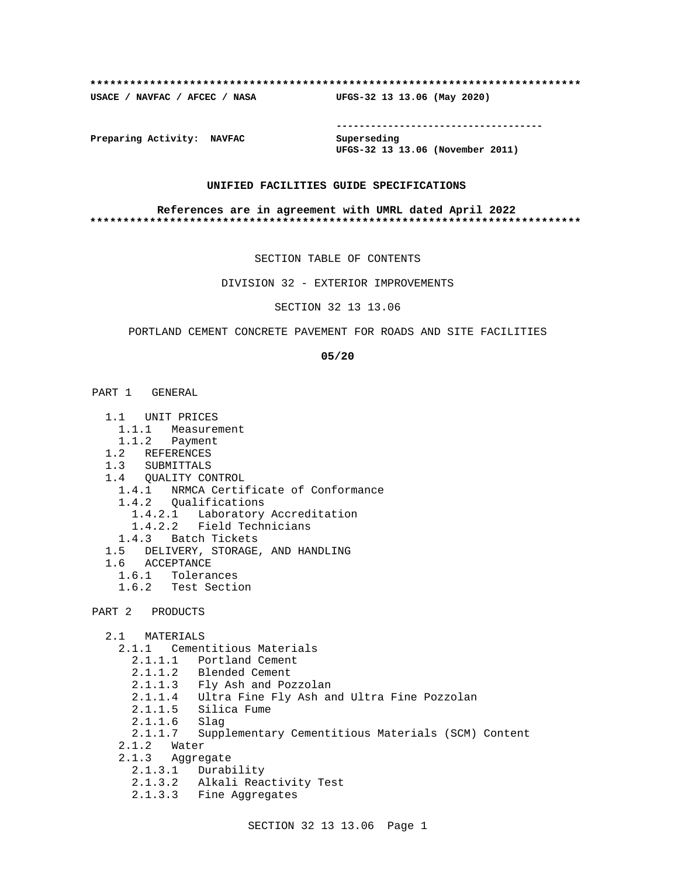#### **\*\*\*\*\*\*\*\*\*\*\*\*\*\*\*\*\*\*\*\*\*\*\*\*\*\*\*\*\*\*\*\*\*\*\*\*\*\*\*\*\*\*\*\*\*\*\*\*\*\*\*\*\*\*\*\*\*\*\*\*\*\*\*\*\*\*\*\*\*\*\*\*\*\***

**USACE / NAVFAC / AFCEC / NASA UFGS-32 13 13.06 (May 2020)**

**------------------------------------**

**Preparing Activity: NAVFAC Superseding**

**UFGS-32 13 13.06 (November 2011)**

### **UNIFIED FACILITIES GUIDE SPECIFICATIONS**

#### **References are in agreement with UMRL dated April 2022 \*\*\*\*\*\*\*\*\*\*\*\*\*\*\*\*\*\*\*\*\*\*\*\*\*\*\*\*\*\*\*\*\*\*\*\*\*\*\*\*\*\*\*\*\*\*\*\*\*\*\*\*\*\*\*\*\*\*\*\*\*\*\*\*\*\*\*\*\*\*\*\*\*\***

SECTION TABLE OF CONTENTS

DIVISION 32 - EXTERIOR IMPROVEMENTS

SECTION 32 13 13.06

### PORTLAND CEMENT CONCRETE PAVEMENT FOR ROADS AND SITE FACILITIES

**05/20**

- PART 1 GENERAL
	- 1.1 UNIT PRICES
	- 1.1.1 Measurement
	- 1.1.2 Payment
	- 1.2 REFERENCES
	- 1.3 SUBMITTALS
	- 1.4 QUALITY CONTROL
	- 1.4.1 NRMCA Certificate of Conformance
	- 1.4.2 Qualifications
- 1.4.2.1 Laboratory Accreditation
- 1.4.2.2 Field Technicians
	- 1.4.3 Batch Tickets
	- 1.5 DELIVERY, STORAGE, AND HANDLING
	- 1.6 ACCEPTANCE
		- 1.6.1 Tolerances
		- 1.6.2 Test Section
- PART 2 PRODUCTS
	- 2.1 MATERIALS
		- 2.1.1 Cementitious Materials
- 2.1.1.1 Portland Cement
- 2.1.1.2 Blended Cement
	- 2.1.1.3 Fly Ash and Pozzolan
	- 2.1.1.4 Ultra Fine Fly Ash and Ultra Fine Pozzolan
	- 2.1.1.5 Silica Fume
	- 2.1.1.6 Slag
	- 2.1.1.7 Supplementary Cementitious Materials (SCM) Content
	- 2.1.2 Water
	- 2.1.3 Aggregate
		- 2.1.3.1 Durability
		- 2.1.3.2 Alkali Reactivity Test
		- 2.1.3.3 Fine Aggregates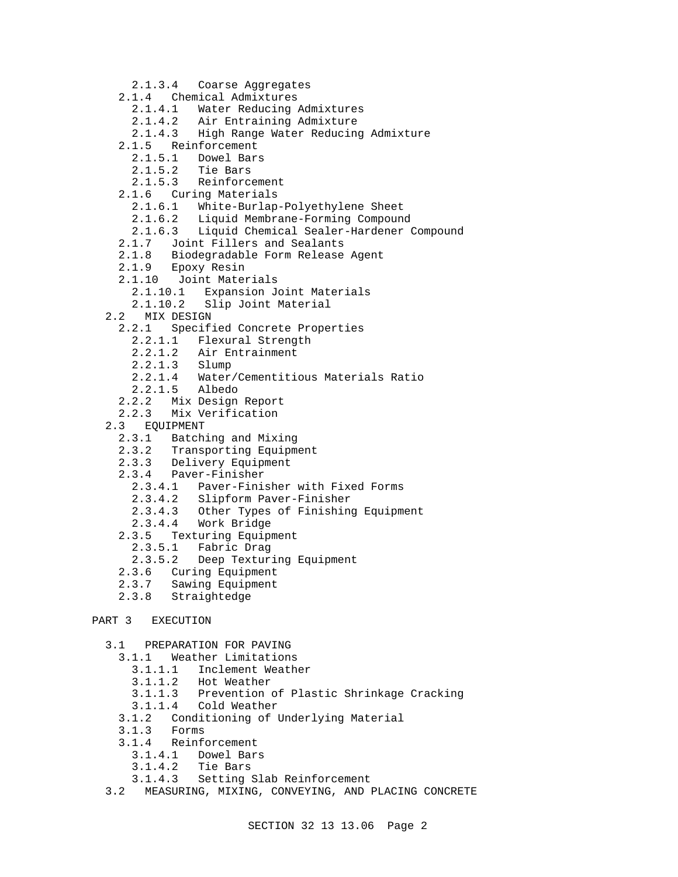- 2.1.3.4 Coarse Aggregates
- 2.1.4 Chemical Admixtures
	- 2.1.4.1 Water Reducing Admixtures
	- 2.1.4.2 Air Entraining Admixture
	- 2.1.4.3 High Range Water Reducing Admixture
- 2.1.5 Reinforcement
- 2.1.5.1 Dowel Bars
	-
- 2.1.5.2 Tie Bars 2.1.5.3 Reinforcement
- 2.1.6 Curing Materials
	- 2.1.6.1 White-Burlap-Polyethylene Sheet
	- 2.1.6.2 Liquid Membrane-Forming Compound
	- 2.1.6.3 Liquid Chemical Sealer-Hardener Compound
- 2.1.7 Joint Fillers and Sealants
- 2.1.8 Biodegradable Form Release Agent
- 2.1.9 Epoxy Resin
- 2.1.10 Joint Materials
	- 2.1.10.1 Expansion Joint Materials
	- 2.1.10.2 Slip Joint Material
- 2.2 MIX DESIGN
	- 2.2.1 Specified Concrete Properties
		- 2.2.1.1 Flexural Strength
		- 2.2.1.2 Air Entrainment
		- 2.2.1.3 Slump
		- 2.2.1.4 Water/Cementitious Materials Ratio
		- 2.2.1.5 Albedo
	- 2.2.2 Mix Design Report
	- 2.2.3 Mix Verification
- 2.3 EQUIPMENT
- 2.3.1 Batching and Mixing
- 2.3.2 Transporting Equipment
	- 2.3.3 Delivery Equipment
	- 2.3.4 Paver-Finisher
		- 2.3.4.1 Paver-Finisher with Fixed Forms
		- 2.3.4.2 Slipform Paver-Finisher
		- 2.3.4.3 Other Types of Finishing Equipment
		- 2.3.4.4 Work Bridge
	- 2.3.5 Texturing Equipment<br>2.3.5.1 Fabric Drag
		- Fabric Drag
		- 2.3.5.2 Deep Texturing Equipment
	- 2.3.6 Curing Equipment
	- 2.3.7 Sawing Equipment
	- 2.3.8 Straightedge

# PART 3 EXECUTION

- 3.1 PREPARATION FOR PAVING
	- 3.1.1 Weather Limitations
		- 3.1.1.1 Inclement Weather
		- 3.1.1.2 Hot Weather
		- 3.1.1.3 Prevention of Plastic Shrinkage Cracking
		- 3.1.1.4 Cold Weather
	- 3.1.2 Conditioning of Underlying Material
	- 3.1.3 Forms
	- 3.1.4 Reinforcement
		- 3.1.4.1 Dowel Bars
		- 3.1.4.2 Tie Bars
		- 3.1.4.3 Setting Slab Reinforcement
- 3.2 MEASURING, MIXING, CONVEYING, AND PLACING CONCRETE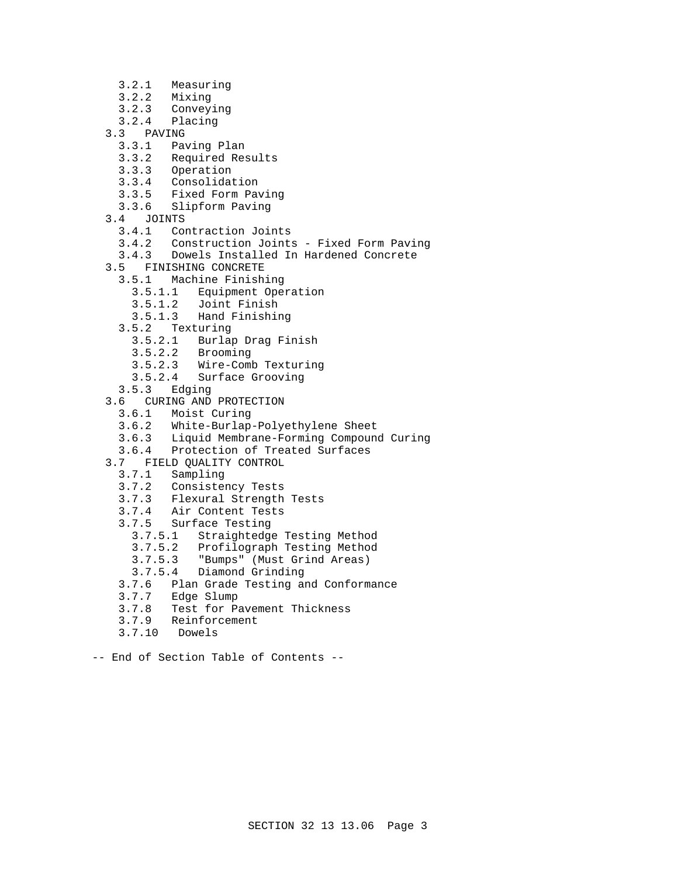- 3.2.1 Measuring
- 3.2.2 Mixing<br>3.2.3 Convey
- 3.2.3 Conveying
- Placing
- 3.3 PAVING
	- 3.3.1 Paving Plan
	- 3.3.2 Required Results
	- 3.3.3 Operation
	- Consolidation
	- 3.3.5 Fixed Form Paving
	- 3.3.6 Slipform Paving
- 3.4 JOINTS
	- 3.4.1 Contraction Joints
	- 3.4.2 Construction Joints Fixed Form Paving
	- 3.4.3 Dowels Installed In Hardened Concrete
- 3.5 FINISHING CONCRETE
	- 3.5.1 Machine Finishing
		- 3.5.1.1 Equipment Operation
		- 3.5.1.2 Joint Finish
		- 3.5.1.3 Hand Finishing
	- 3.5.2 Texturing
		- 3.5.2.1 Burlap Drag Finish
		- 3.5.2.2 Brooming
		- 3.5.2.3 Wire-Comb Texturing
		- 3.5.2.4 Surface Grooving
- 3.5.3 Edging
- 3.6 CURING AND PROTECTION
	- 3.6.1 Moist Curing
	- 3.6.2 White-Burlap-Polyethylene Sheet
	- 3.6.3 Liquid Membrane-Forming Compound Curing
	- 3.6.4 Protection of Treated Surfaces
- 3.7 FIELD QUALITY CONTROL
	-
	- 3.7.1 Sampling Consistency Tests
	- 3.7.3 Flexural Strength Tests
	- 3.7.4 Air Content Tests
	- 3.7.5 Surface Testing
		-
		- 3.7.5.1 Straightedge Testing Method Profilograph Testing Method
		- 3.7.5.3 "Bumps" (Must Grind Areas)
		-
	- 3.7.5.4 Diamond Grinding<br>3.7.6 Plan Grade Testing a 3.7.6 Plan Grade Testing and Conformance
	- 3.7.7 Edge Slump
	- 3.7.8 Test for Pavement Thickness
	- 3.7.9 Reinforcement
	- 3.7.10 Dowels
- -- End of Section Table of Contents --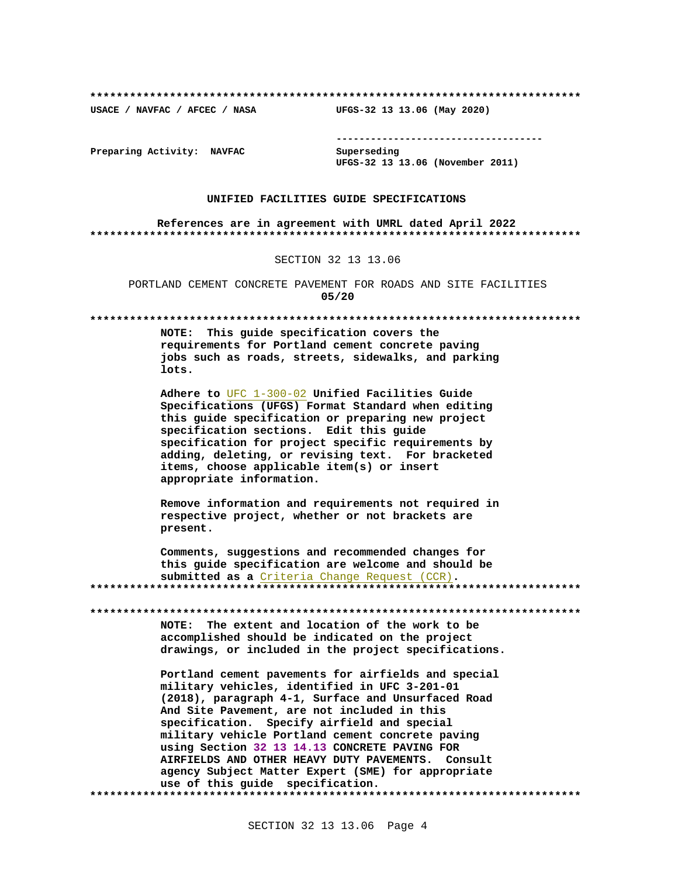USACE / NAVFAC / AFCEC / NASA

--------------------------------------

Preparing Activity: NAVFAC

Superseding UFGS-32 13 13.06 (November 2011)

UFGS-32 13 13.06 (May 2020)

#### UNIFIED FACILITIES GUIDE SPECIFICATIONS

References are in agreement with UMRL dated April 2022 

SECTION 32 13 13.06

PORTLAND CEMENT CONCRETE PAVEMENT FOR ROADS AND SITE FACILITIES  $05/20$ 

NOTE: This quide specification covers the requirements for Portland cement concrete paving jobs such as roads, streets, sidewalks, and parking lots.

Adhere to UFC 1-300-02 Unified Facilities Guide Specifications (UFGS) Format Standard when editing this guide specification or preparing new project specification sections. Edit this guide specification for project specific requirements by adding, deleting, or revising text. For bracketed items, choose applicable item(s) or insert appropriate information.

Remove information and requirements not required in respective project, whether or not brackets are present.

Comments, suggestions and recommended changes for this guide specification are welcome and should be submitted as a Criteria Change Request (CCR). 

NOTE: The extent and location of the work to be accomplished should be indicated on the project drawings, or included in the project specifications.

Portland cement pavements for airfields and special military vehicles, identified in UFC 3-201-01 (2018), paragraph 4-1, Surface and Unsurfaced Road And Site Pavement, are not included in this specification. Specify airfield and special military vehicle Portland cement concrete paving using Section 32 13 14.13 CONCRETE PAVING FOR AIRFIELDS AND OTHER HEAVY DUTY PAVEMENTS. Consult agency Subject Matter Expert (SME) for appropriate use of this guide specification.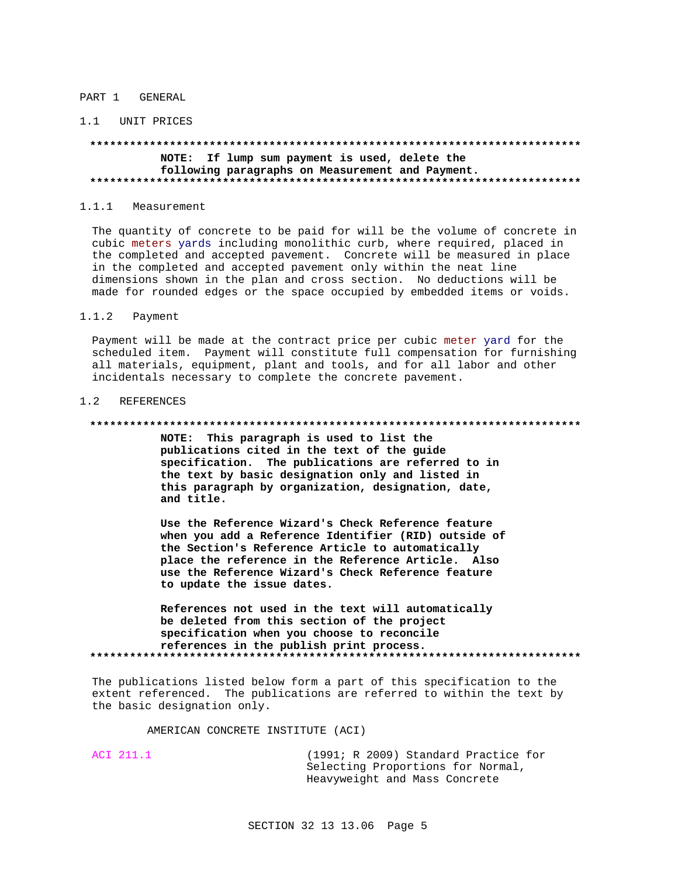#### PART 1 GENERAL

#### 1.1 UNIT PRICES

# NOTE: If lump sum payment is used, delete the following paragraphs on Measurement and Payment.

#### $1.1.1$ Measurement

The quantity of concrete to be paid for will be the volume of concrete in cubic meters yards including monolithic curb, where required, placed in the completed and accepted pavement. Concrete will be measured in place in the completed and accepted pavement only within the neat line dimensions shown in the plan and cross section. No deductions will be made for rounded edges or the space occupied by embedded items or voids.

#### $1.1.2$ Payment

Payment will be made at the contract price per cubic meter yard for the scheduled item. Payment will constitute full compensation for furnishing all materials, equipment, plant and tools, and for all labor and other incidentals necessary to complete the concrete pavement.

#### 1.2 REFERENCES

#### 

NOTE: This paragraph is used to list the publications cited in the text of the guide specification. The publications are referred to in the text by basic designation only and listed in this paragraph by organization, designation, date, and title.

Use the Reference Wizard's Check Reference feature when you add a Reference Identifier (RID) outside of the Section's Reference Article to automatically place the reference in the Reference Article. Also use the Reference Wizard's Check Reference feature to update the issue dates.

References not used in the text will automatically be deleted from this section of the project specification when you choose to reconcile references in the publish print process. 

The publications listed below form a part of this specification to the extent referenced. The publications are referred to within the text by the basic designation only.

### AMERICAN CONCRETE INSTITUTE (ACI)

ACI 211.1

(1991; R 2009) Standard Practice for Selecting Proportions for Normal, Heavyweight and Mass Concrete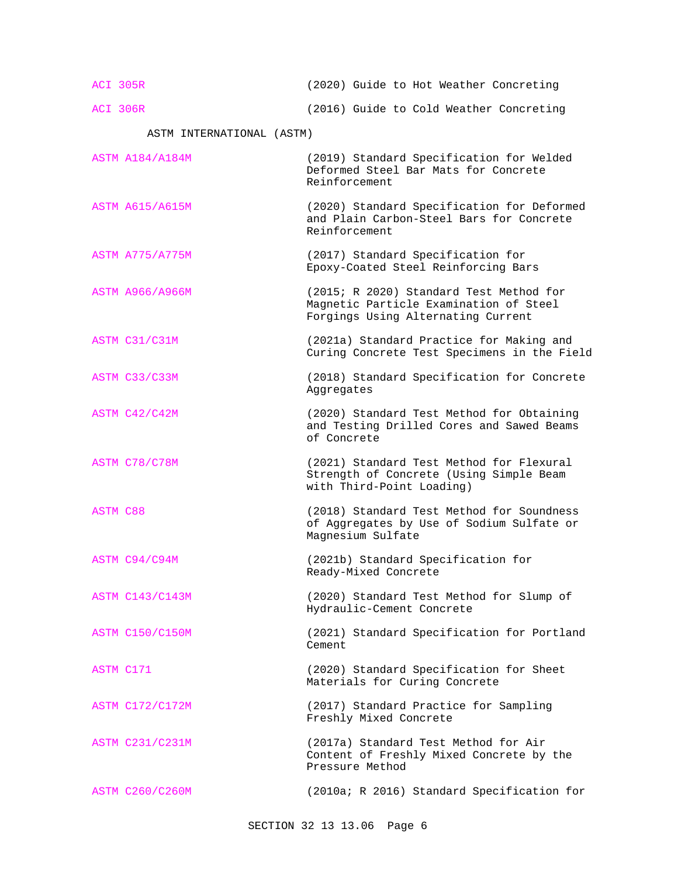ACI 305R (2020) Guide to Hot Weather Concreting

ACI 306R (2016) Guide to Cold Weather Concreting

ASTM INTERNATIONAL (ASTM)

- ASTM A184/A184M (2019) Standard Specification for Welded Deformed Steel Bar Mats for Concrete Reinforcement
- ASTM A615/A615M (2020) Standard Specification for Deformed and Plain Carbon-Steel Bars for Concrete Reinforcement
- ASTM A775/A775M (2017) Standard Specification for Epoxy-Coated Steel Reinforcing Bars
- ASTM A966/A966M (2015; R 2020) Standard Test Method for Magnetic Particle Examination of Steel Forgings Using Alternating Current
- ASTM C31/C31M (2021a) Standard Practice for Making and Curing Concrete Test Specimens in the Field
- ASTM C33/C33M (2018) Standard Specification for Concrete Aggregates
- ASTM C42/C42M (2020) Standard Test Method for Obtaining and Testing Drilled Cores and Sawed Beams of Concrete
- ASTM C78/C78M (2021) Standard Test Method for Flexural Strength of Concrete (Using Simple Beam with Third-Point Loading)
- ASTM C88 (2018) Standard Test Method for Soundness of Aggregates by Use of Sodium Sulfate or Magnesium Sulfate
- ASTM C94/C94M (2021b) Standard Specification for Ready-Mixed Concrete
- ASTM C143/C143M (2020) Standard Test Method for Slump of Hydraulic-Cement Concrete
- ASTM C150/C150M (2021) Standard Specification for Portland Cement
- ASTM C171 (2020) Standard Specification for Sheet Materials for Curing Concrete
- ASTM C172/C172M (2017) Standard Practice for Sampling Freshly Mixed Concrete
- ASTM C231/C231M (2017a) Standard Test Method for Air Content of Freshly Mixed Concrete by the Pressure Method

ASTM C260/C260M (2010a; R 2016) Standard Specification for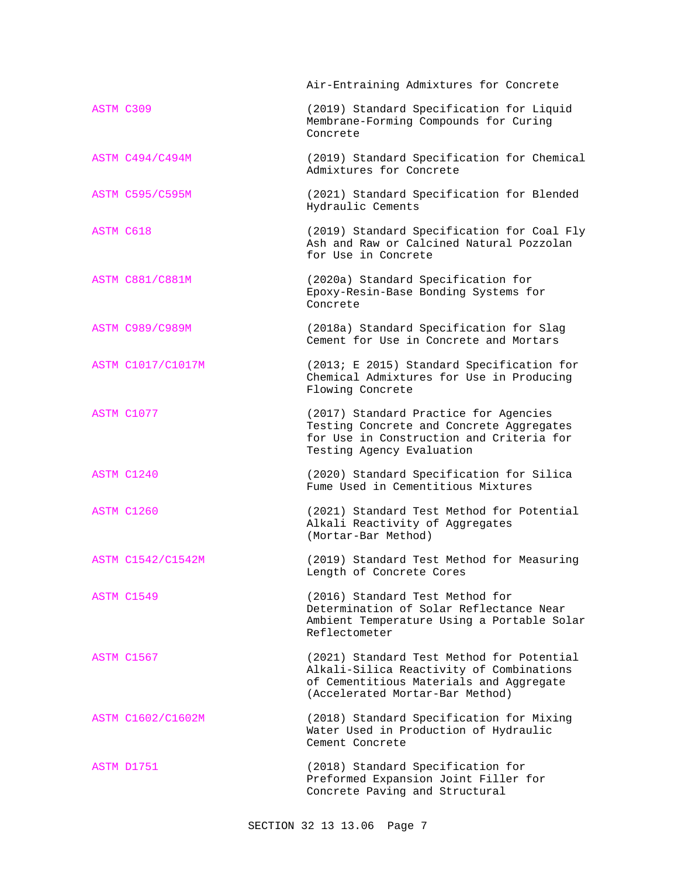|                        | Air-Entraining Admixtures for Concrete                                                                                                                              |
|------------------------|---------------------------------------------------------------------------------------------------------------------------------------------------------------------|
| ASTM C309              | (2019) Standard Specification for Liquid<br>Membrane-Forming Compounds for Curing<br>Concrete                                                                       |
| ASTM C494/C494M        | (2019) Standard Specification for Chemical<br>Admixtures for Concrete                                                                                               |
| <b>ASTM C595/C595M</b> | (2021) Standard Specification for Blended<br>Hydraulic Cements                                                                                                      |
| <b>ASTM C618</b>       | (2019) Standard Specification for Coal Fly<br>Ash and Raw or Calcined Natural Pozzolan<br>for Use in Concrete                                                       |
| <b>ASTM C881/C881M</b> | (2020a) Standard Specification for<br>Epoxy-Resin-Base Bonding Systems for<br>Concrete                                                                              |
| <b>ASTM C989/C989M</b> | (2018a) Standard Specification for Slag<br>Cement for Use in Concrete and Mortars                                                                                   |
| ASTM C1017/C1017M      | (2013; E 2015) Standard Specification for<br>Chemical Admixtures for Use in Producing<br>Flowing Concrete                                                           |
| ASTM C1077             | (2017) Standard Practice for Agencies<br>Testing Concrete and Concrete Aggregates<br>for Use in Construction and Criteria for<br>Testing Agency Evaluation          |
| ASTM C1240             | (2020) Standard Specification for Silica<br>Fume Used in Cementitious Mixtures                                                                                      |
| ASTM C1260             | (2021) Standard Test Method for Potential<br>Alkali Reactivity of Aggregates<br>(Mortar-Bar Method)                                                                 |
| ASTM C1542/C1542M      | (2019) Standard Test Method for Measuring<br>Length of Concrete Cores                                                                                               |
| ASTM C1549             | (2016) Standard Test Method for<br>Determination of Solar Reflectance Near<br>Ambient Temperature Using a Portable Solar<br>Reflectometer                           |
| ASTM C1567             | (2021) Standard Test Method for Potential<br>Alkali-Silica Reactivity of Combinations<br>of Cementitious Materials and Aggregate<br>(Accelerated Mortar-Bar Method) |
| ASTM C1602/C1602M      | (2018) Standard Specification for Mixing<br>Water Used in Production of Hydraulic<br>Cement Concrete                                                                |
| ASTM D1751             | (2018) Standard Specification for<br>Preformed Expansion Joint Filler for<br>Concrete Paving and Structural                                                         |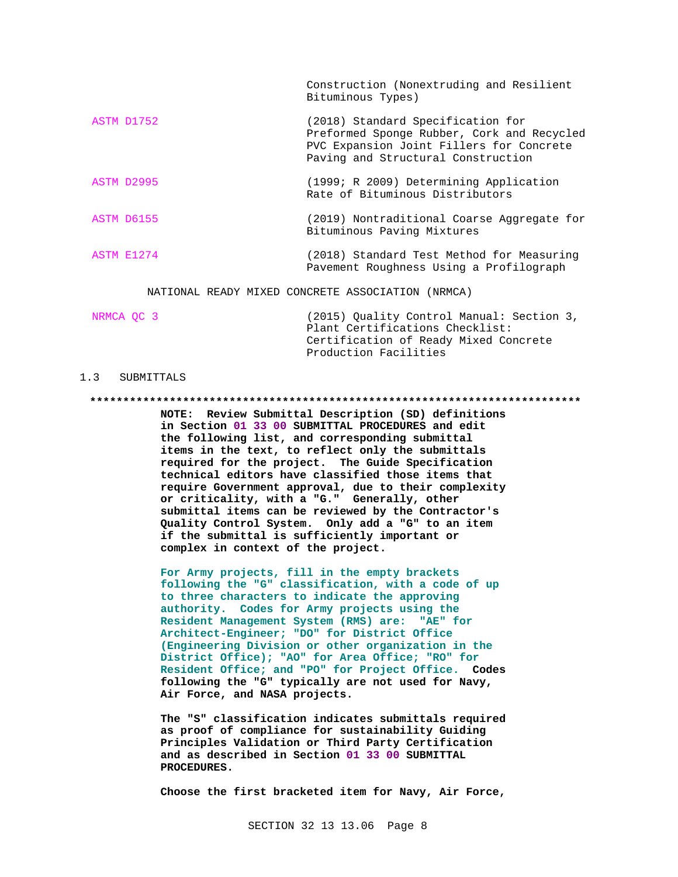Construction (Nonextruding and Resilient Bituminous Types)

- ASTM D1752 (2018) Standard Specification for Preformed Sponge Rubber, Cork and Recycled PVC Expansion Joint Fillers for Concrete Paving and Structural Construction
- ASTM D2995 (1999; R 2009) Determining Application Rate of Bituminous Distributors
- ASTM D6155 (2019) Nontraditional Coarse Aggregate for Bituminous Paving Mixtures
- ASTM E1274 (2018) Standard Test Method for Measuring Pavement Roughness Using a Profilograph

NATIONAL READY MIXED CONCRETE ASSOCIATION (NRMCA)

| NRMCA OC 3 | (2015) Ouality Control Manual: Section 3, |  |  |  |
|------------|-------------------------------------------|--|--|--|
|            | Plant Certifications Checklist:           |  |  |  |
|            | Certification of Ready Mixed Concrete     |  |  |  |
|            | Production Facilities                     |  |  |  |

#### 1.3 SUBMITTALS

#### 

NOTE: Review Submittal Description (SD) definitions in Section 01 33 00 SUBMITTAL PROCEDURES and edit the following list, and corresponding submittal items in the text, to reflect only the submittals required for the project. The Guide Specification technical editors have classified those items that require Government approval, due to their complexity or criticality, with a "G." Generally, other submittal items can be reviewed by the Contractor's Quality Control System. Only add a "G" to an item if the submittal is sufficiently important or complex in context of the project.

For Army projects, fill in the empty brackets following the "G" classification, with a code of up to three characters to indicate the approving authority. Codes for Army projects using the Resident Management System (RMS) are: "AE" for Architect-Engineer; "DO" for District Office (Engineering Division or other organization in the District Office); "AO" for Area Office; "RO" for Resident Office; and "PO" for Project Office. Codes following the "G" typically are not used for Navy, Air Force, and NASA projects.

The "S" classification indicates submittals required as proof of compliance for sustainability Guiding Principles Validation or Third Party Certification and as described in Section 01 33 00 SUBMITTAL PROCEDURES.

Choose the first bracketed item for Navy, Air Force,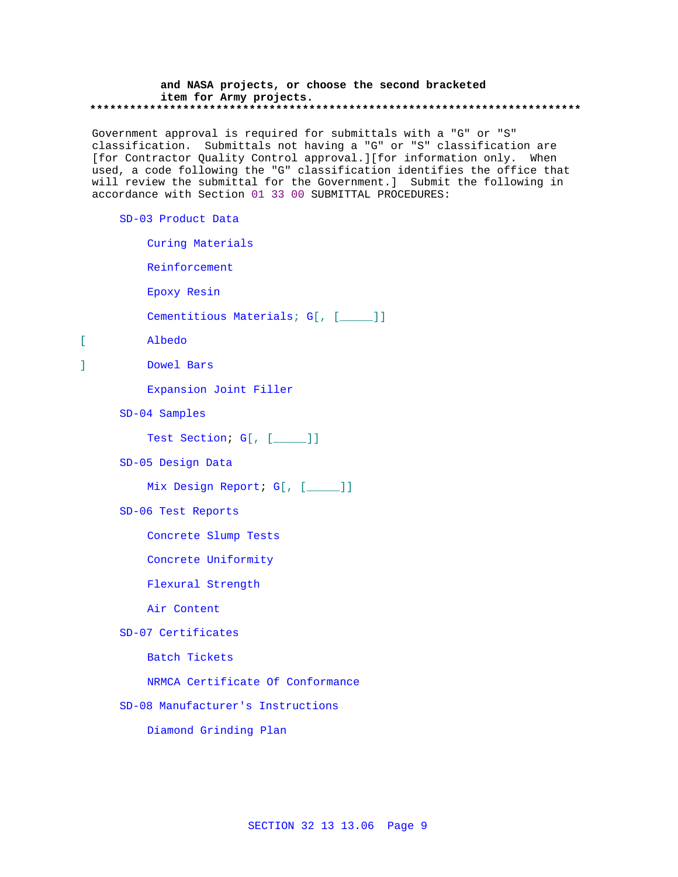#### **and NASA projects, or choose the second bracketed item for Army projects. \*\*\*\*\*\*\*\*\*\*\*\*\*\*\*\*\*\*\*\*\*\*\*\*\*\*\*\*\*\*\*\*\*\*\*\*\*\*\*\*\*\*\*\*\*\*\*\*\*\*\*\*\*\*\*\*\*\*\*\*\*\*\*\*\*\*\*\*\*\*\*\*\*\***

Government approval is required for submittals with a "G" or "S" classification. Submittals not having a "G" or "S" classification are [for Contractor Quality Control approval.][for information only. When used, a code following the "G" classification identifies the office that will review the submittal for the Government.] Submit the following in accordance with Section 01 33 00 SUBMITTAL PROCEDURES:

#### SD-03 Product Data

- Curing Materials
- Reinforcement
- Epoxy Resin
- Cementitious Materials; G[, [\_\_\_\_]]
- [ Albedo
- ] Dowel Bars
	- Expansion Joint Filler
	- SD-04 Samples

Test Section; G[, [\_\_\_\_]]

SD-05 Design Data

Mix Design Report; G[, [\_\_\_\_]]

SD-06 Test Reports

Concrete Slump Tests

Concrete Uniformity

Flexural Strength

Air Content

SD-07 Certificates

Batch Tickets

- NRMCA Certificate Of Conformance
- SD-08 Manufacturer's Instructions

Diamond Grinding Plan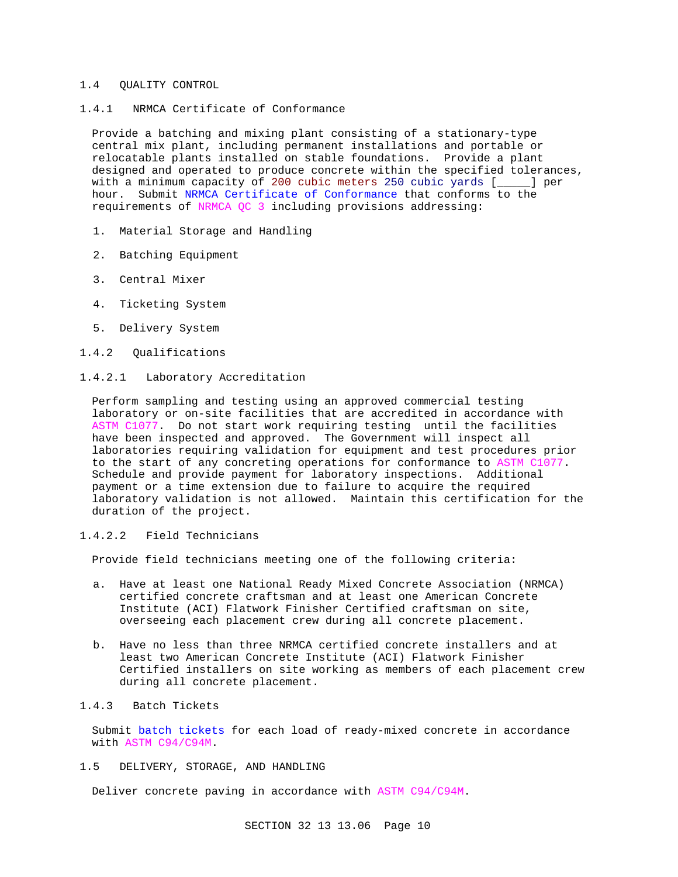#### 1.4 QUALITY CONTROL

1.4.1 NRMCA Certificate of Conformance

Provide a batching and mixing plant consisting of a stationary-type central mix plant, including permanent installations and portable or relocatable plants installed on stable foundations. Provide a plant designed and operated to produce concrete within the specified tolerances, with a minimum capacity of 200 cubic meters 250 cubic yards [\_\_\_\_\_] per hour. Submit NRMCA Certificate of Conformance that conforms to the requirements of NRMCA QC 3 including provisions addressing:

- 1. Material Storage and Handling
- 2. Batching Equipment
- 3. Central Mixer
- 4. Ticketing System
- 5. Delivery System
- 1.4.2 Qualifications

# 1.4.2.1 Laboratory Accreditation

Perform sampling and testing using an approved commercial testing laboratory or on-site facilities that are accredited in accordance with ASTM C1077. Do not start work requiring testing until the facilities have been inspected and approved. The Government will inspect all laboratories requiring validation for equipment and test procedures prior to the start of any concreting operations for conformance to ASTM C1077. Schedule and provide payment for laboratory inspections. Additional payment or a time extension due to failure to acquire the required laboratory validation is not allowed. Maintain this certification for the duration of the project.

# 1.4.2.2 Field Technicians

Provide field technicians meeting one of the following criteria:

- a. Have at least one National Ready Mixed Concrete Association (NRMCA) certified concrete craftsman and at least one American Concrete Institute (ACI) Flatwork Finisher Certified craftsman on site, overseeing each placement crew during all concrete placement.
- b. Have no less than three NRMCA certified concrete installers and at least two American Concrete Institute (ACI) Flatwork Finisher Certified installers on site working as members of each placement crew during all concrete placement.

# 1.4.3 Batch Tickets

Submit batch tickets for each load of ready-mixed concrete in accordance with ASTM C94/C94M.

1.5 DELIVERY, STORAGE, AND HANDLING

Deliver concrete paving in accordance with ASTM C94/C94M.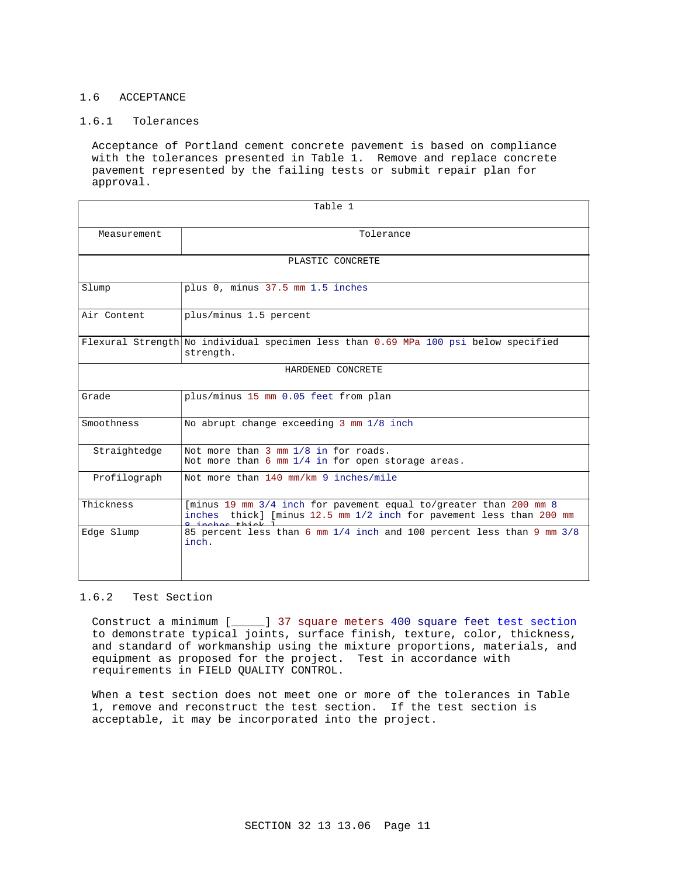# 1.6 ACCEPTANCE

# 1.6.1 Tolerances

Acceptance of Portland cement concrete pavement is based on compliance with the tolerances presented in Table 1. Remove and replace concrete pavement represented by the failing tests or submit repair plan for approval.

| Table 1           |                                                                                                                                                                                      |  |  |
|-------------------|--------------------------------------------------------------------------------------------------------------------------------------------------------------------------------------|--|--|
| Measurement       | Tolerance                                                                                                                                                                            |  |  |
| PLASTIC CONCRETE  |                                                                                                                                                                                      |  |  |
| Slump             | plus 0, minus 37.5 mm 1.5 inches                                                                                                                                                     |  |  |
| Air Content       | plus/minus 1.5 percent                                                                                                                                                               |  |  |
|                   | Flexural Strength No individual specimen less than 0.69 MPa 100 psi below specified<br>strength.                                                                                     |  |  |
| HARDENED CONCRETE |                                                                                                                                                                                      |  |  |
| Grade             | plus/minus 15 mm 0.05 feet from plan                                                                                                                                                 |  |  |
| Smoothness        | No abrupt change exceeding 3 mm 1/8 inch                                                                                                                                             |  |  |
| Straightedge      | Not more than 3 mm 1/8 in for roads.<br>Not more than $6 \text{ mm } 1/4$ in for open storage areas.                                                                                 |  |  |
| Profilograph      | Not more than 140 mm/km 9 inches/mile                                                                                                                                                |  |  |
| Thickness         | [minus 19 mm 3/4 inch for pavement equal to/greater than 200 mm 8<br>thick] [minus $12.5$ mm $1/2$ inch for pavement less than 200 mm<br>inches<br>and a security of the Contract of |  |  |
| Edge Slump        | 85 percent less than 6 mm 1/4 inch and 100 percent less than 9 mm 3/8<br>inch.                                                                                                       |  |  |

# 1.6.2 Test Section

Construct a minimum [\_\_\_\_\_] 37 square meters 400 square feet test section to demonstrate typical joints, surface finish, texture, color, thickness, and standard of workmanship using the mixture proportions, materials, and equipment as proposed for the project. Test in accordance with requirements in FIELD QUALITY CONTROL.

When a test section does not meet one or more of the tolerances in Table 1, remove and reconstruct the test section. If the test section is acceptable, it may be incorporated into the project.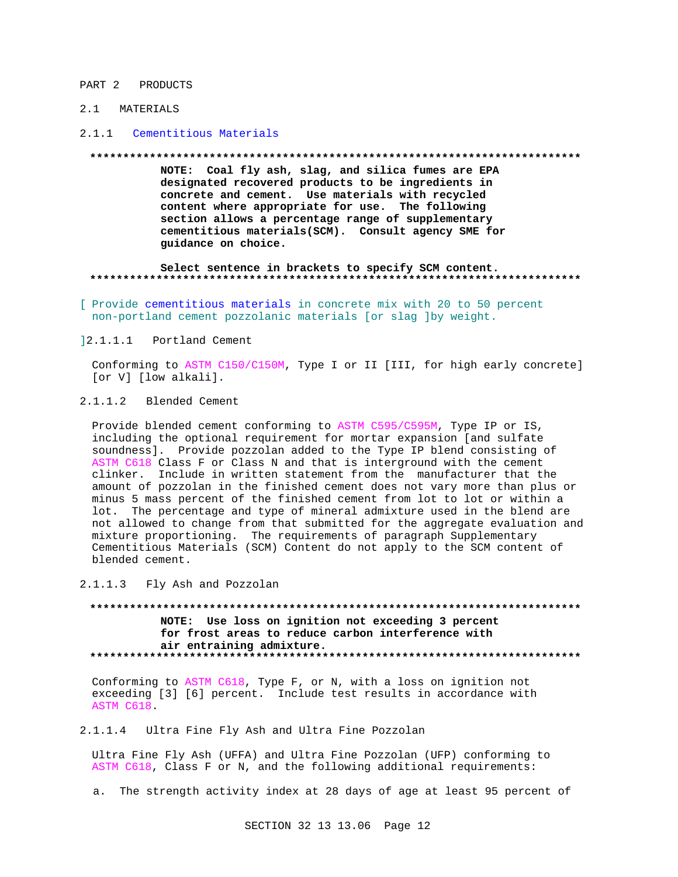#### PART 2 PRODUCTS

# 2.1 MATERIALS

#### 2.1.1 Cementitious Materials

#### **\*\*\*\*\*\*\*\*\*\*\*\*\*\*\*\*\*\*\*\*\*\*\*\*\*\*\*\*\*\*\*\*\*\*\*\*\*\*\*\*\*\*\*\*\*\*\*\*\*\*\*\*\*\*\*\*\*\*\*\*\*\*\*\*\*\*\*\*\*\*\*\*\*\***

**NOTE: Coal fly ash, slag, and silica fumes are EPA designated recovered products to be ingredients in concrete and cement. Use materials with recycled content where appropriate for use. The following section allows a percentage range of supplementary cementitious materials(SCM). Consult agency SME for guidance on choice.**

#### **Select sentence in brackets to specify SCM content. \*\*\*\*\*\*\*\*\*\*\*\*\*\*\*\*\*\*\*\*\*\*\*\*\*\*\*\*\*\*\*\*\*\*\*\*\*\*\*\*\*\*\*\*\*\*\*\*\*\*\*\*\*\*\*\*\*\*\*\*\*\*\*\*\*\*\*\*\*\*\*\*\*\***

[ Provide cementitious materials in concrete mix with 20 to 50 percent non-portland cement pozzolanic materials [or slag ]by weight.

#### ]2.1.1.1 Portland Cement

Conforming to ASTM C150/C150M, Type I or II [III, for high early concrete] [or V] [low alkali].

# 2.1.1.2 Blended Cement

Provide blended cement conforming to ASTM C595/C595M, Type IP or IS, including the optional requirement for mortar expansion [and sulfate soundness]. Provide pozzolan added to the Type IP blend consisting of ASTM C618 Class F or Class N and that is interground with the cement clinker. Include in written statement from the manufacturer that the amount of pozzolan in the finished cement does not vary more than plus or minus 5 mass percent of the finished cement from lot to lot or within a lot. The percentage and type of mineral admixture used in the blend are not allowed to change from that submitted for the aggregate evaluation and mixture proportioning. The requirements of paragraph Supplementary Cementitious Materials (SCM) Content do not apply to the SCM content of blended cement.

#### 2.1.1.3 Fly Ash and Pozzolan

**\*\*\*\*\*\*\*\*\*\*\*\*\*\*\*\*\*\*\*\*\*\*\*\*\*\*\*\*\*\*\*\*\*\*\*\*\*\*\*\*\*\*\*\*\*\*\*\*\*\*\*\*\*\*\*\*\*\*\*\*\*\*\*\*\*\*\*\*\*\*\*\*\*\* NOTE: Use loss on ignition not exceeding 3 percent for frost areas to reduce carbon interference with air entraining admixture. \*\*\*\*\*\*\*\*\*\*\*\*\*\*\*\*\*\*\*\*\*\*\*\*\*\*\*\*\*\*\*\*\*\*\*\*\*\*\*\*\*\*\*\*\*\*\*\*\*\*\*\*\*\*\*\*\*\*\*\*\*\*\*\*\*\*\*\*\*\*\*\*\*\***

Conforming to ASTM C618, Type F, or N, with a loss on ignition not exceeding [3] [6] percent. Include test results in accordance with ASTM C618.

2.1.1.4 Ultra Fine Fly Ash and Ultra Fine Pozzolan

Ultra Fine Fly Ash (UFFA) and Ultra Fine Pozzolan (UFP) conforming to ASTM C618, Class F or N, and the following additional requirements:

a. The strength activity index at 28 days of age at least 95 percent of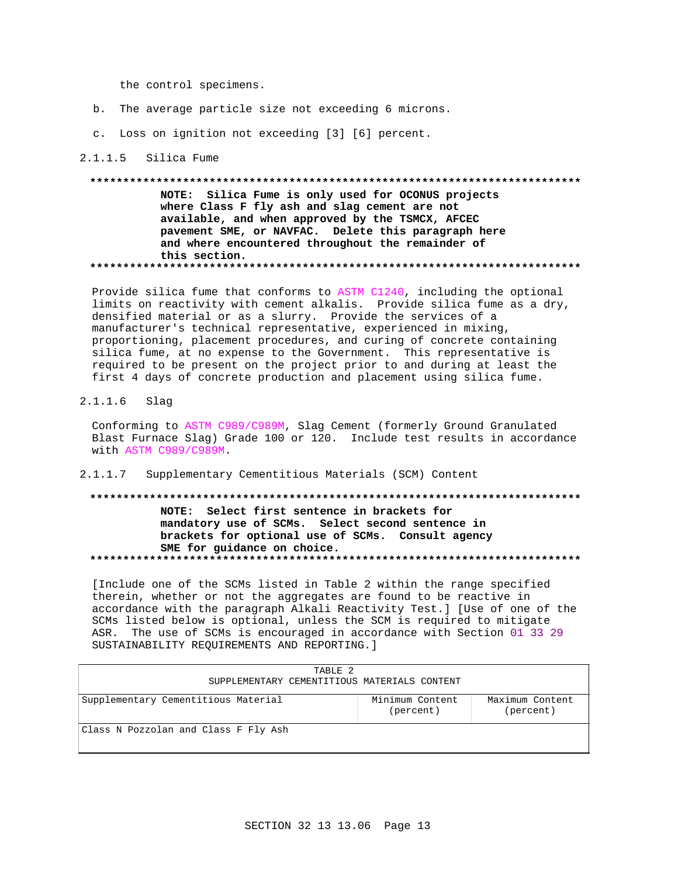the control specimens.

- b. The average particle size not exceeding 6 microns.
- c. Loss on ignition not exceeding [3] [6] percent.

#### 2.1.1.5 Silica Fume

NOTE: Silica Fume is only used for OCONUS projects where Class F fly ash and slag cement are not available, and when approved by the TSMCX, AFCEC pavement SME, or NAVFAC. Delete this paragraph here and where encountered throughout the remainder of this section. 

Provide silica fume that conforms to ASTM C1240, including the optional limits on reactivity with cement alkalis. Provide silica fume as a dry, densified material or as a slurry. Provide the services of a manufacturer's technical representative, experienced in mixing, proportioning, placement procedures, and curing of concrete containing silica fume, at no expense to the Government. This representative is required to be present on the project prior to and during at least the first 4 days of concrete production and placement using silica fume.

 $2.1.1.6$ Slag

> Conforming to ASTM C989/C989M, Slag Cement (formerly Ground Granulated Blast Furnace Slag) Grade 100 or 120. Include test results in accordance with ASTM C989/C989M.

 $2.1.1.7$ Supplementary Cementitious Materials (SCM) Content

# NOTE: Select first sentence in brackets for mandatory use of SCMs. Select second sentence in brackets for optional use of SCMs. Consult agency SME for guidance on choice.

[Include one of the SCMs listed in Table 2 within the range specified therein, whether or not the aggregates are found to be reactive in accordance with the paragraph Alkali Reactivity Test.] [Use of one of the SCMs listed below is optional, unless the SCM is required to mitigate ASR. The use of SCMs is encouraged in accordance with Section 01 33 29 SUSTAINABILITY REQUIREMENTS AND REPORTING. ]

| TABLE 2<br>SUPPLEMENTARY CEMENTITIOUS MATERIALS CONTENT |                              |                              |
|---------------------------------------------------------|------------------------------|------------------------------|
| Supplementary Cementitious Material                     | Minimum Content<br>(percent) | Maximum Content<br>(percent) |
| Class N Pozzolan and Class F Fly Ash                    |                              |                              |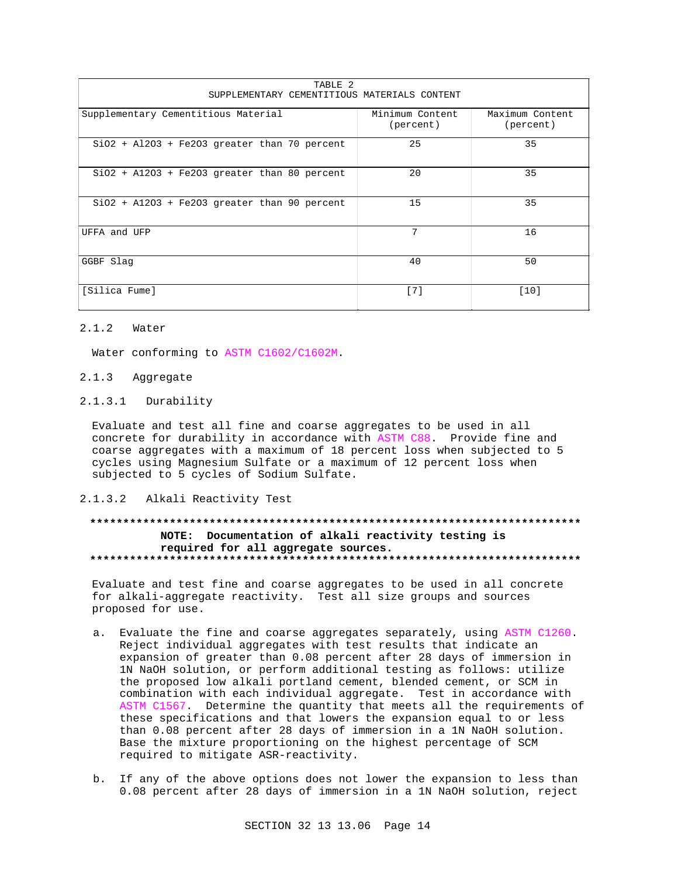| TABLE 2<br>SUPPLEMENTARY CEMENTITIOUS MATERIALS CONTENT |                              |                              |  |  |
|---------------------------------------------------------|------------------------------|------------------------------|--|--|
| Supplementary Cementitious Material                     | Minimum Content<br>(percent) | Maximum Content<br>(percent) |  |  |
| $SiO2 + Al2O3 + Fe2O3$ greater than 70 percent          | 25                           | 35                           |  |  |
| $SiO2 + A12O3 + Fe2O3 greater than 80 percent$          | 20                           | 35                           |  |  |
| $SiO2 + A12O3 + Fe2O3 greater than 90 percent$          | 15                           | 35                           |  |  |
| UFFA and UFP                                            | 7                            | 16                           |  |  |
| GGBF Slag                                               | 40                           | 50                           |  |  |
| [Silica Fume]                                           | [7]                          | $[10]$                       |  |  |

# 2.1.2 Water

Water conforming to ASTM C1602/C1602M.

# 2.1.3 Aggregate

### 2.1.3.1 Durability

Evaluate and test all fine and coarse aggregates to be used in all concrete for durability in accordance with ASTM C88. Provide fine and coarse aggregates with a maximum of 18 percent loss when subjected to 5 cycles using Magnesium Sulfate or a maximum of 12 percent loss when subjected to 5 cycles of Sodium Sulfate.

# 2.1.3.2 Alkali Reactivity Test

# **\*\*\*\*\*\*\*\*\*\*\*\*\*\*\*\*\*\*\*\*\*\*\*\*\*\*\*\*\*\*\*\*\*\*\*\*\*\*\*\*\*\*\*\*\*\*\*\*\*\*\*\*\*\*\*\*\*\*\*\*\*\*\*\*\*\*\*\*\*\*\*\*\*\* NOTE: Documentation of alkali reactivity testing is required for all aggregate sources. \*\*\*\*\*\*\*\*\*\*\*\*\*\*\*\*\*\*\*\*\*\*\*\*\*\*\*\*\*\*\*\*\*\*\*\*\*\*\*\*\*\*\*\*\*\*\*\*\*\*\*\*\*\*\*\*\*\*\*\*\*\*\*\*\*\*\*\*\*\*\*\*\*\***

Evaluate and test fine and coarse aggregates to be used in all concrete for alkali-aggregate reactivity. Test all size groups and sources proposed for use.

- a. Evaluate the fine and coarse aggregates separately, using ASTM C1260. Reject individual aggregates with test results that indicate an expansion of greater than 0.08 percent after 28 days of immersion in 1N NaOH solution, or perform additional testing as follows: utilize the proposed low alkali portland cement, blended cement, or SCM in combination with each individual aggregate. Test in accordance with ASTM C1567. Determine the quantity that meets all the requirements of these specifications and that lowers the expansion equal to or less than 0.08 percent after 28 days of immersion in a 1N NaOH solution. Base the mixture proportioning on the highest percentage of SCM required to mitigate ASR-reactivity.
- b. If any of the above options does not lower the expansion to less than 0.08 percent after 28 days of immersion in a 1N NaOH solution, reject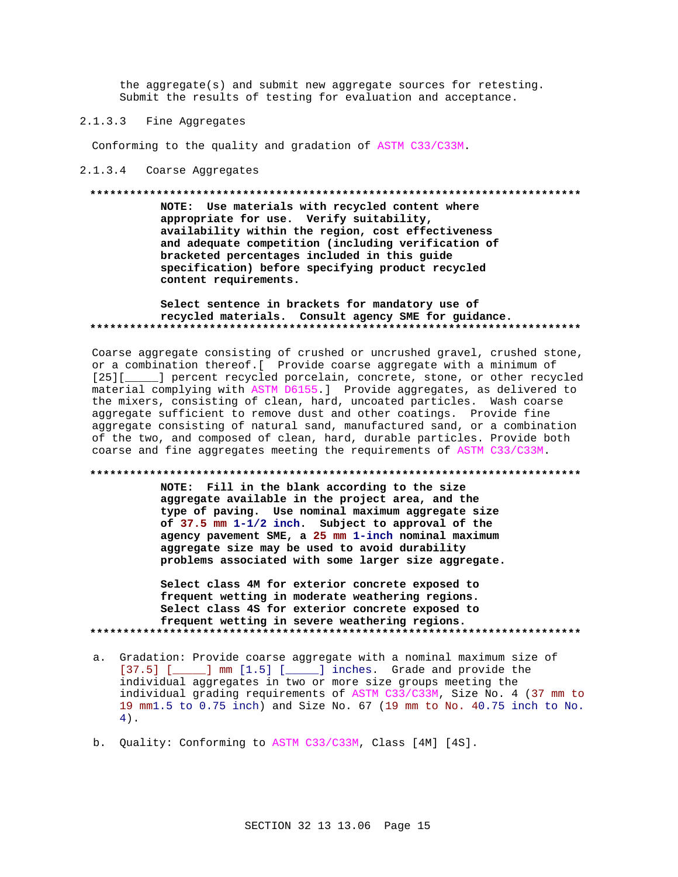the aggregate(s) and submit new aggregate sources for retesting. Submit the results of testing for evaluation and acceptance.

#### $2.1.3.3$ Fine Aggregates

Conforming to the quality and gradation of ASTM C33/C33M.

#### 2.1.3.4 Coarse Aggregates

#### 

NOTE: Use materials with recycled content where appropriate for use. Verify suitability, availability within the region, cost effectiveness and adequate competition (including verification of bracketed percentages included in this guide specification) before specifying product recycled content requirements.

### Select sentence in brackets for mandatory use of recycled materials. Consult agency SME for guidance.

Coarse aggregate consisting of crushed or uncrushed gravel, crushed stone, or a combination thereof. [ Provide coarse aggregate with a minimum of [25][\_\_\_\_\_] percent recycled porcelain, concrete, stone, or other recycled material complying with ASTM D6155.] Provide aggregates, as delivered to the mixers, consisting of clean, hard, uncoated particles. Wash coarse aggregate sufficient to remove dust and other coatings. Provide fine aggregate consisting of natural sand, manufactured sand, or a combination of the two, and composed of clean, hard, durable particles. Provide both coarse and fine aggregates meeting the requirements of ASTM C33/C33M.

#### 

NOTE: Fill in the blank according to the size aggregate available in the project area, and the type of paving. Use nominal maximum aggregate size of 37.5 mm 1-1/2 inch. Subject to approval of the agency pavement SME, a 25 mm 1-inch nominal maximum aggregate size may be used to avoid durability problems associated with some larger size aggregate.

# Select class 4M for exterior concrete exposed to frequent wetting in moderate weathering regions. Select class 4S for exterior concrete exposed to frequent wetting in severe weathering regions.

- a. Gradation: Provide coarse aggregate with a nominal maximum size of [37.5] [\_\_\_\_\_] mm [1.5] [\_\_\_\_\_] inches. Grade and provide the individual aggregates in two or more size groups meeting the individual grading requirements of ASTM C33/C33M, Size No. 4 (37 mm to 19 mm1.5 to 0.75 inch) and Size No. 67 (19 mm to No. 40.75 inch to No.  $4)$ .
- b. Quality: Conforming to ASTM C33/C33M, Class [4M] [4S].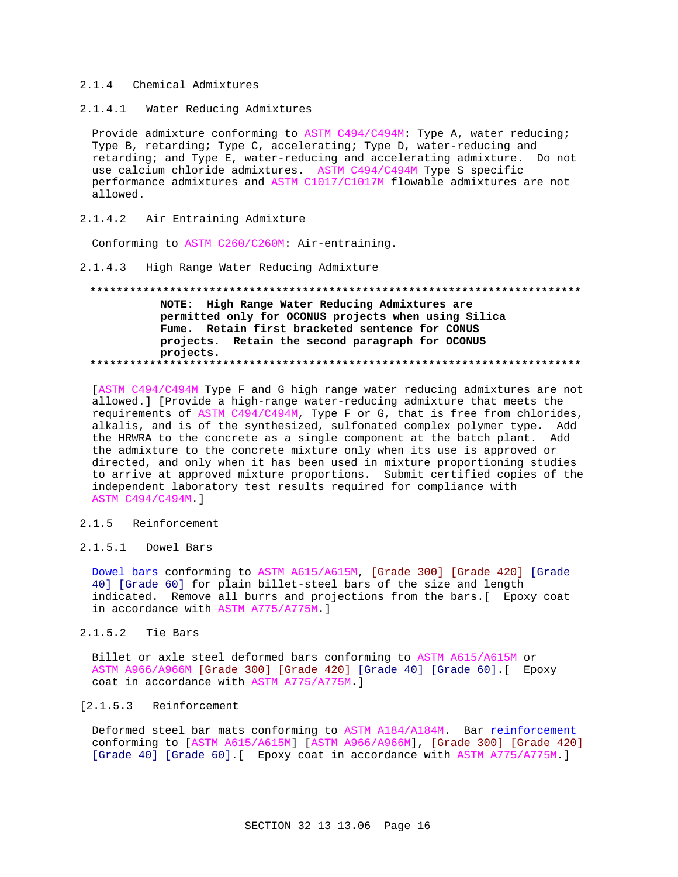### 2.1.4 Chemical Admixtures

 $2.1.4.1$ Water Reducing Admixtures

Provide admixture conforming to ASTM C494/C494M: Type A, water reducing; Type B, retarding; Type C, accelerating; Type D, water-reducing and retarding; and Type E, water-reducing and accelerating admixture. Do not use calcium chloride admixtures. ASTM C494/C494M Type S specific performance admixtures and ASTM C1017/C1017M flowable admixtures are not allowed.

#### $2.1.4.2$ Air Entraining Admixture

Conforming to ASTM C260/C260M: Air-entraining.

### 2.1.4.3 High Range Water Reducing Admixture

# NOTE: High Range Water Reducing Admixtures are permitted only for OCONUS projects when using Silica Fume. Retain first bracketed sentence for CONUS projects. Retain the second paragraph for OCONUS projects.

[ASTM C494/C494M Type F and G high range water reducing admixtures are not allowed.] [Provide a high-range water-reducing admixture that meets the requirements of ASTM C494/C494M, Type F or G, that is free from chlorides, alkalis, and is of the synthesized, sulfonated complex polymer type. Add the HRWRA to the concrete as a single component at the batch plant. Add the admixture to the concrete mixture only when its use is approved or directed, and only when it has been used in mixture proportioning studies to arrive at approved mixture proportions. Submit certified copies of the independent laboratory test results required for compliance with ASTM C494/C494M.]

#### $2.1.5$ Reinforcement

# 2.1.5.1 Dowel Bars

Dowel bars conforming to ASTM A615/A615M, [Grade 300] [Grade 420] [Grade 40] [Grade 60] for plain billet-steel bars of the size and length indicated. Remove all burrs and projections from the bars. [ Epoxy coat in accordance with ASTM A775/A775M.]

#### $2.1.5.2$ Tie Bars

Billet or axle steel deformed bars conforming to ASTM A615/A615M or ASTM A966/A966M [Grade 300] [Grade 420] [Grade 40] [Grade 60]. [ Epoxy coat in accordance with ASTM A775/A775M.]

# [2.1.5.3 Reinforcement

Deformed steel bar mats conforming to ASTM A184/A184M. Bar reinforcement conforming to [ASTM A615/A615M] [ASTM A966/A966M], [Grade 300] [Grade 420] [Grade 40] [Grade 60]. [ Epoxy coat in accordance with ASTM A775/A775M.]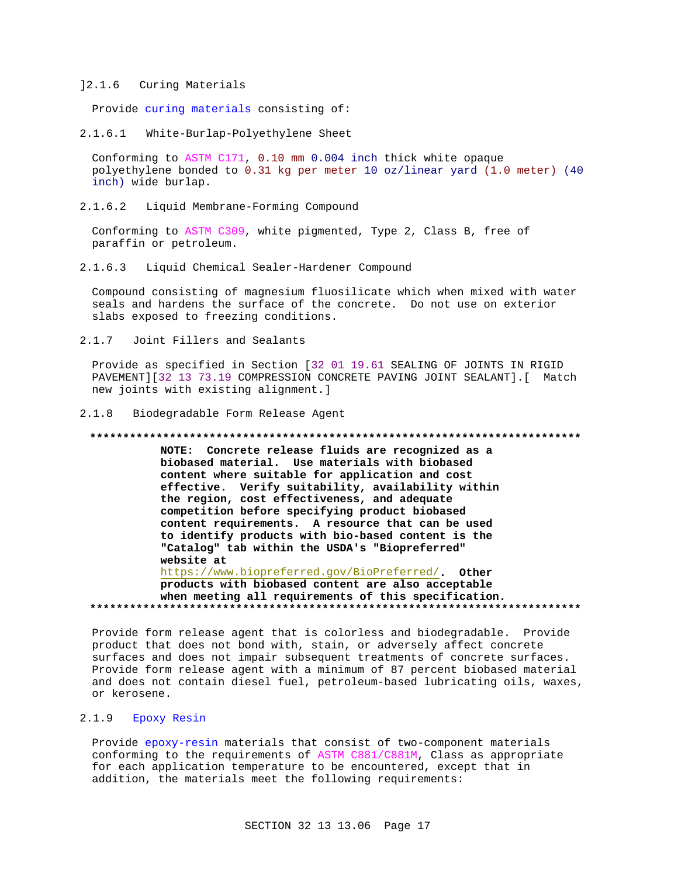### ]2.1.6 Curing Materials

Provide curing materials consisting of:

2.1.6.1 White-Burlap-Polyethylene Sheet

Conforming to ASTM C171, 0.10 mm 0.004 inch thick white opaque polyethylene bonded to 0.31 kg per meter 10 oz/linear yard (1.0 meter) (40 inch) wide burlap.

2.1.6.2 Liquid Membrane-Forming Compound

Conforming to ASTM C309, white pigmented, Type 2, Class B, free of paraffin or petroleum.

2.1.6.3 Liquid Chemical Sealer-Hardener Compound

Compound consisting of magnesium fluosilicate which when mixed with water seals and hardens the surface of the concrete. Do not use on exterior slabs exposed to freezing conditions.

2.1.7 Joint Fillers and Sealants

Provide as specified in Section [32 01 19.61 SEALING OF JOINTS IN RIGID PAVEMENT][32 13 73.19 COMPRESSION CONCRETE PAVING JOINT SEALANT].[ Match new joints with existing alignment.]

#### 2.1.8 Biodegradable Form Release Agent

#### **\*\*\*\*\*\*\*\*\*\*\*\*\*\*\*\*\*\*\*\*\*\*\*\*\*\*\*\*\*\*\*\*\*\*\*\*\*\*\*\*\*\*\*\*\*\*\*\*\*\*\*\*\*\*\*\*\*\*\*\*\*\*\*\*\*\*\*\*\*\*\*\*\*\***

**NOTE: Concrete release fluids are recognized as a biobased material. Use materials with biobased content where suitable for application and cost effective. Verify suitability, availability within the region, cost effectiveness, and adequate competition before specifying product biobased content requirements. A resource that can be used to identify products with bio-based content is the "Catalog" tab within the USDA's "Biopreferred" website at** https://www.biopreferred.gov/BioPreferred/**. Other products with biobased content are also acceptable**

**when meeting all requirements of this specification. \*\*\*\*\*\*\*\*\*\*\*\*\*\*\*\*\*\*\*\*\*\*\*\*\*\*\*\*\*\*\*\*\*\*\*\*\*\*\*\*\*\*\*\*\*\*\*\*\*\*\*\*\*\*\*\*\*\*\*\*\*\*\*\*\*\*\*\*\*\*\*\*\*\***

Provide form release agent that is colorless and biodegradable. Provide product that does not bond with, stain, or adversely affect concrete surfaces and does not impair subsequent treatments of concrete surfaces. Provide form release agent with a minimum of 87 percent biobased material and does not contain diesel fuel, petroleum-based lubricating oils, waxes, or kerosene.

### 2.1.9 Epoxy Resin

Provide epoxy-resin materials that consist of two-component materials conforming to the requirements of ASTM C881/C881M, Class as appropriate for each application temperature to be encountered, except that in addition, the materials meet the following requirements: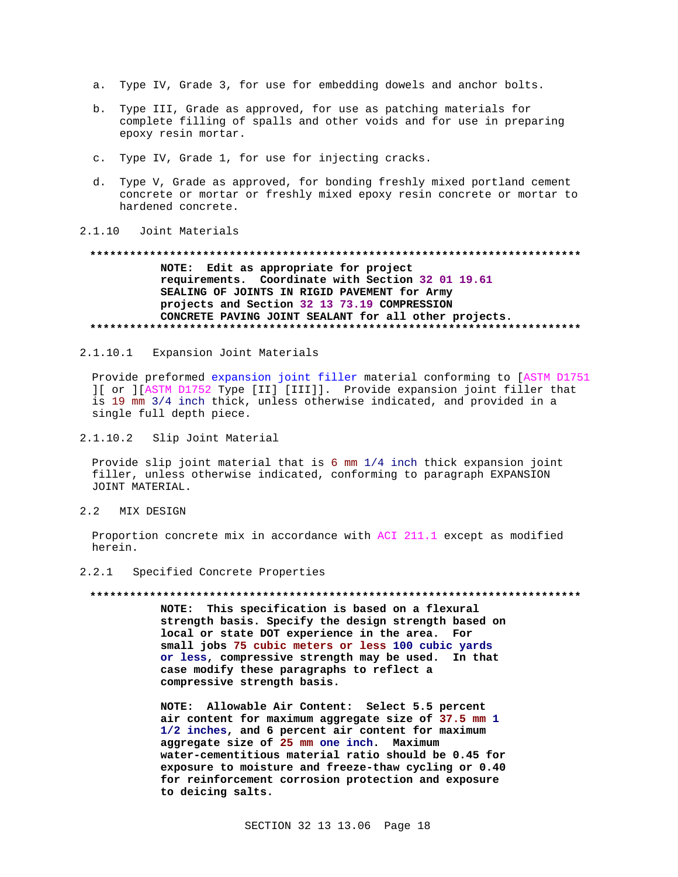- a. Type IV, Grade 3, for use for embedding dowels and anchor bolts.
- b. Type III, Grade as approved, for use as patching materials for complete filling of spalls and other voids and for use in preparing epoxy resin mortar.
- c. Type IV, Grade 1, for use for injecting cracks.
- d. Type V, Grade as approved, for bonding freshly mixed portland cement concrete or mortar or freshly mixed epoxy resin concrete or mortar to hardened concrete.

#### $2.1.10$ Joint Materials

#### 

# NOTE: Edit as appropriate for project requirements. Coordinate with Section 32 01 19.61 SEALING OF JOINTS IN RIGID PAVEMENT for Army projects and Section 32 13 73.19 COMPRESSION CONCRETE PAVING JOINT SEALANT for all other projects.

 $2.1.10.1$ Expansion Joint Materials

Provide preformed expansion joint filler material conforming to [ASTM D1751 ][ or ][ASTM D1752 Type [II] [III]]. Provide expansion joint filler that is 19 mm 3/4 inch thick, unless otherwise indicated, and provided in a single full depth piece.

 $2.1.10.2$ Slip Joint Material

Provide slip joint material that is 6 mm 1/4 inch thick expansion joint filler, unless otherwise indicated, conforming to paragraph EXPANSION JOINT MATERIAL.

 $2.2$ MIX DESIGN

> Proportion concrete mix in accordance with ACI 211.1 except as modified herein.

 $2.2.1$ Specified Concrete Properties

#### 

NOTE: This specification is based on a flexural strength basis. Specify the design strength based on local or state DOT experience in the area. For small jobs 75 cubic meters or less 100 cubic yards or less, compressive strength may be used. In that case modify these paragraphs to reflect a compressive strength basis.

NOTE: Allowable Air Content: Select 5.5 percent air content for maximum aggregate size of 37.5 mm 1 1/2 inches, and 6 percent air content for maximum aggregate size of 25 mm one inch. Maximum water-cementitious material ratio should be 0.45 for exposure to moisture and freeze-thaw cycling or 0.40 for reinforcement corrosion protection and exposure to deicing salts.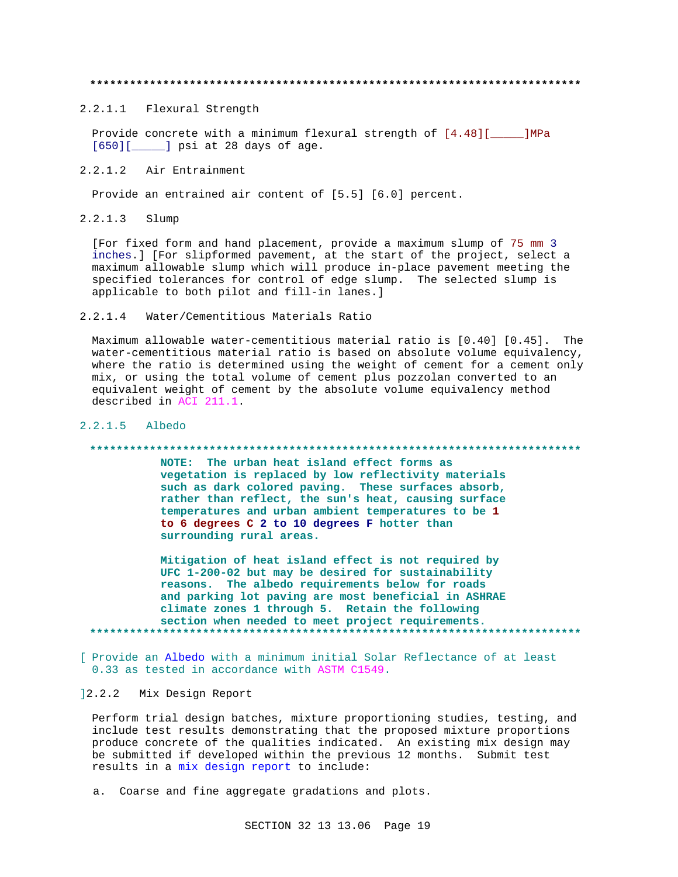2.2.1.1 Flexural Strength

Provide concrete with a minimum flexural strength of [4.48][\_\_\_\_\_]MPa [650][\_\_\_\_\_] psi at 28 days of age.

 $2.2.1.2$ Air Entrainment

Provide an entrained air content of [5.5] [6.0] percent.

 $2.2.1.3$ Slump

> [For fixed form and hand placement, provide a maximum slump of 75 mm 3 inches.] [For slipformed pavement, at the start of the project, select a maximum allowable slump which will produce in-place pavement meeting the specified tolerances for control of edge slump. The selected slump is applicable to both pilot and fill-in lanes.]

 $2.2.1.4$ Water/Cementitious Materials Ratio

Maximum allowable water-cementitious material ratio is [0.40] [0.45]. The water-cementitious material ratio is based on absolute volume equivalency, where the ratio is determined using the weight of cement for a cement only mix, or using the total volume of cement plus pozzolan converted to an equivalent weight of cement by the absolute volume equivalency method described in ACI 211.1.

### 2.2.1.5 Albedo

#### 

NOTE: The urban heat island effect forms as vegetation is replaced by low reflectivity materials such as dark colored paving. These surfaces absorb, rather than reflect, the sun's heat, causing surface temperatures and urban ambient temperatures to be 1 to 6 degrees C 2 to 10 degrees F hotter than surrounding rural areas.

Mitigation of heat island effect is not required by UFC 1-200-02 but may be desired for sustainability reasons. The albedo requirements below for roads and parking lot paving are most beneficial in ASHRAE climate zones 1 through 5. Retain the following section when needed to meet project requirements. 

[ Provide an Albedo with a minimum initial Solar Reflectance of at least 0.33 as tested in accordance with ASTM C1549.

# 12.2.2 Mix Design Report

Perform trial design batches, mixture proportioning studies, testing, and include test results demonstrating that the proposed mixture proportions produce concrete of the qualities indicated. An existing mix design may be submitted if developed within the previous 12 months. Submit test results in a mix design report to include:

a. Coarse and fine aggregate gradations and plots.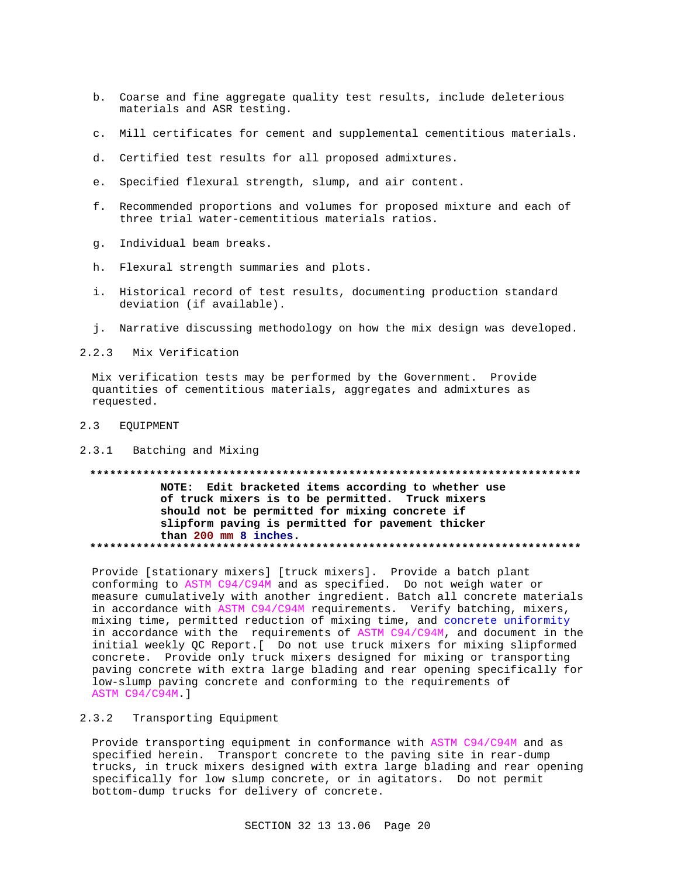- b. Coarse and fine aggregate quality test results, include deleterious materials and ASR testing.
- c. Mill certificates for cement and supplemental cementitious materials.
- d. Certified test results for all proposed admixtures.
- e. Specified flexural strength, slump, and air content.
- f. Recommended proportions and volumes for proposed mixture and each of three trial water-cementitious materials ratios.
- g. Individual beam breaks.
- h. Flexural strength summaries and plots.
- i. Historical record of test results, documenting production standard deviation (if available).
- j. Narrative discussing methodology on how the mix design was developed.

2.2.3 Mix Verification

Mix verification tests may be performed by the Government. Provide quantities of cementitious materials, aggregates and admixtures as requested.

 $2.3$ **EQUIPMENT** 

#### $2.3.1$ Batching and Mixing

NOTE: Edit bracketed items according to whether use of truck mixers is to be permitted. Truck mixers should not be permitted for mixing concrete if slipform paving is permitted for pavement thicker than 200 mm 8 inches. 

Provide [stationary mixers] [truck mixers]. Provide a batch plant conforming to ASTM C94/C94M and as specified. Do not weigh water or measure cumulatively with another ingredient. Batch all concrete materials in accordance with ASTM C94/C94M requirements. Verify batching, mixers, mixing time, permitted reduction of mixing time, and concrete uniformity in accordance with the requirements of ASTM C94/C94M, and document in the initial weekly QC Report. [ Do not use truck mixers for mixing slipformed concrete. Provide only truck mixers designed for mixing or transporting paving concrete with extra large blading and rear opening specifically for low-slump paving concrete and conforming to the requirements of ASTM C94/C94M.]

#### $2.3.2$ Transporting Equipment

Provide transporting equipment in conformance with ASTM C94/C94M and as specified herein. Transport concrete to the paving site in rear-dump trucks, in truck mixers designed with extra large blading and rear opening specifically for low slump concrete, or in agitators. Do not permit bottom-dump trucks for delivery of concrete.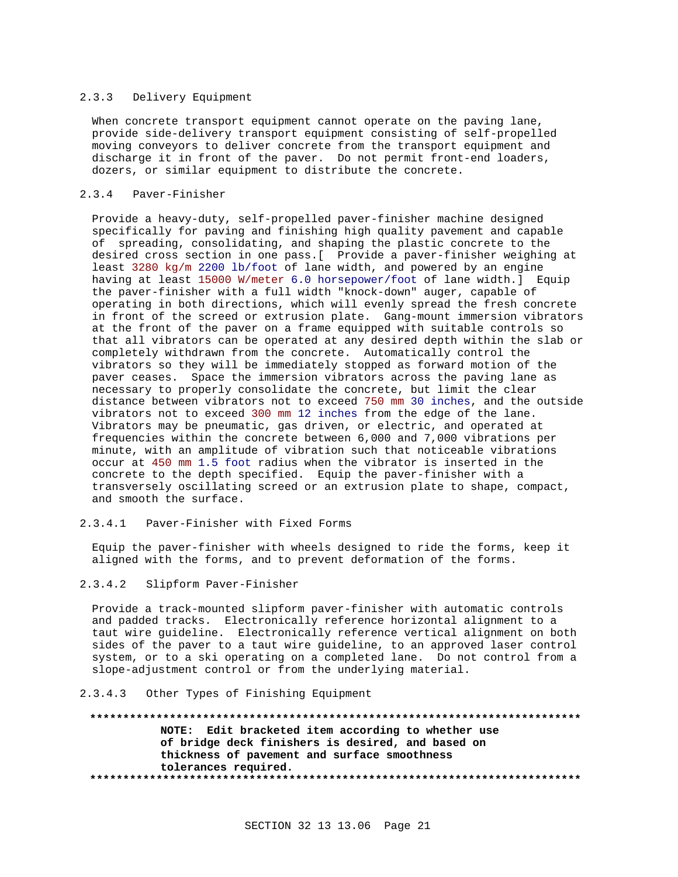#### 2.3.3 Delivery Equipment

When concrete transport equipment cannot operate on the paving lane, provide side-delivery transport equipment consisting of self-propelled moving conveyors to deliver concrete from the transport equipment and discharge it in front of the paver. Do not permit front-end loaders, dozers, or similar equipment to distribute the concrete.

# 2.3.4 Paver-Finisher

Provide a heavy-duty, self-propelled paver-finisher machine designed specifically for paving and finishing high quality pavement and capable of spreading, consolidating, and shaping the plastic concrete to the desired cross section in one pass.[ Provide a paver-finisher weighing at least 3280 kg/m 2200 lb/foot of lane width, and powered by an engine having at least 15000 W/meter 6.0 horsepower/foot of lane width.] Equip the paver-finisher with a full width "knock-down" auger, capable of operating in both directions, which will evenly spread the fresh concrete in front of the screed or extrusion plate. Gang-mount immersion vibrators at the front of the paver on a frame equipped with suitable controls so that all vibrators can be operated at any desired depth within the slab or completely withdrawn from the concrete. Automatically control the vibrators so they will be immediately stopped as forward motion of the paver ceases. Space the immersion vibrators across the paving lane as necessary to properly consolidate the concrete, but limit the clear distance between vibrators not to exceed 750 mm 30 inches, and the outside vibrators not to exceed 300 mm 12 inches from the edge of the lane. Vibrators may be pneumatic, gas driven, or electric, and operated at frequencies within the concrete between 6,000 and 7,000 vibrations per minute, with an amplitude of vibration such that noticeable vibrations occur at 450 mm 1.5 foot radius when the vibrator is inserted in the concrete to the depth specified. Equip the paver-finisher with a transversely oscillating screed or an extrusion plate to shape, compact, and smooth the surface.

### 2.3.4.1 Paver-Finisher with Fixed Forms

Equip the paver-finisher with wheels designed to ride the forms, keep it aligned with the forms, and to prevent deformation of the forms.

## 2.3.4.2 Slipform Paver-Finisher

Provide a track-mounted slipform paver-finisher with automatic controls and padded tracks. Electronically reference horizontal alignment to a taut wire guideline. Electronically reference vertical alignment on both sides of the paver to a taut wire guideline, to an approved laser control system, or to a ski operating on a completed lane. Do not control from a slope-adjustment control or from the underlying material.

#### 2.3.4.3 Other Types of Finishing Equipment

**\*\*\*\*\*\*\*\*\*\*\*\*\*\*\*\*\*\*\*\*\*\*\*\*\*\*\*\*\*\*\*\*\*\*\*\*\*\*\*\*\*\*\*\*\*\*\*\*\*\*\*\*\*\*\*\*\*\*\*\*\*\*\*\*\*\*\*\*\*\*\*\*\*\* NOTE: Edit bracketed item according to whether use of bridge deck finishers is desired, and based on thickness of pavement and surface smoothness tolerances required. \*\*\*\*\*\*\*\*\*\*\*\*\*\*\*\*\*\*\*\*\*\*\*\*\*\*\*\*\*\*\*\*\*\*\*\*\*\*\*\*\*\*\*\*\*\*\*\*\*\*\*\*\*\*\*\*\*\*\*\*\*\*\*\*\*\*\*\*\*\*\*\*\*\***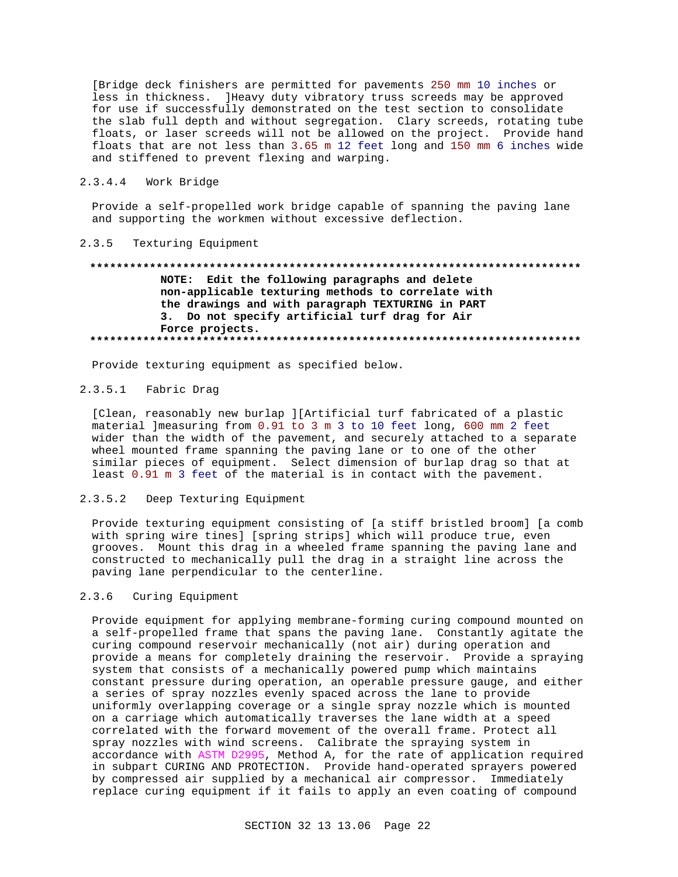[Bridge deck finishers are permitted for payements 250 mm 10 inches or less in thickness. ]Heavy duty vibratory truss screeds may be approved for use if successfully demonstrated on the test section to consolidate the slab full depth and without segregation. Clary screeds, rotating tube floats, or laser screeds will not be allowed on the project. Provide hand floats that are not less than 3.65 m 12 feet long and 150 mm 6 inches wide and stiffened to prevent flexing and warping.

#### $2.3.4.4$ Work Bridge

Provide a self-propelled work bridge capable of spanning the paving lane and supporting the workmen without excessive deflection.

#### $2.3.5$ Texturing Equipment

# NOTE: Edit the following paragraphs and delete non-applicable texturing methods to correlate with the drawings and with paragraph TEXTURING in PART 3. Do not specify artificial turf drag for Air Force projects.

Provide texturing equipment as specified below.

#### $2.3.5.1$ Fabric Drag

[Clean, reasonably new burlap ][Artificial turf fabricated of a plastic material ]measuring from 0.91 to 3 m 3 to 10 feet long, 600 mm 2 feet wider than the width of the pavement, and securely attached to a separate wheel mounted frame spanning the paving lane or to one of the other similar pieces of equipment. Select dimension of burlap drag so that at least 0.91 m 3 feet of the material is in contact with the pavement.

#### $2.3.5.2$ Deep Texturing Equipment

Provide texturing equipment consisting of [a stiff bristled broom] [a comb with spring wire tines] [spring strips] which will produce true, even grooves. Mount this drag in a wheeled frame spanning the paving lane and constructed to mechanically pull the drag in a straight line across the paving lane perpendicular to the centerline.

#### $2.3.6$ Curing Equipment

Provide equipment for applying membrane-forming curing compound mounted on a self-propelled frame that spans the paving lane. Constantly agitate the curing compound reservoir mechanically (not air) during operation and provide a means for completely draining the reservoir. Provide a spraying system that consists of a mechanically powered pump which maintains constant pressure during operation, an operable pressure gauge, and either a series of spray nozzles evenly spaced across the lane to provide uniformly overlapping coverage or a single spray nozzle which is mounted on a carriage which automatically traverses the lane width at a speed correlated with the forward movement of the overall frame. Protect all spray nozzles with wind screens. Calibrate the spraying system in accordance with ASTM D2995, Method A, for the rate of application required in subpart CURING AND PROTECTION. Provide hand-operated sprayers powered by compressed air supplied by a mechanical air compressor. Immediately replace curing equipment if it fails to apply an even coating of compound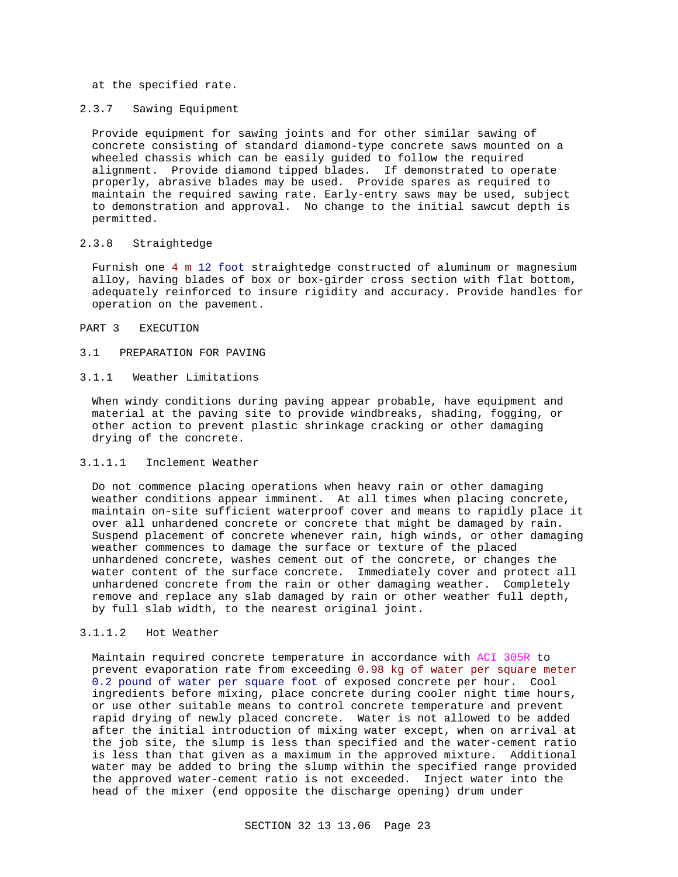at the specified rate.

### 2.3.7 Sawing Equipment

Provide equipment for sawing joints and for other similar sawing of concrete consisting of standard diamond-type concrete saws mounted on a wheeled chassis which can be easily guided to follow the required alignment. Provide diamond tipped blades. If demonstrated to operate properly, abrasive blades may be used. Provide spares as required to maintain the required sawing rate. Early-entry saws may be used, subject to demonstration and approval. No change to the initial sawcut depth is permitted.

### 2.3.8 Straightedge

Furnish one 4 m 12 foot straightedge constructed of aluminum or magnesium alloy, having blades of box or box-girder cross section with flat bottom, adequately reinforced to insure rigidity and accuracy. Provide handles for operation on the pavement.

### PART 3 EXECUTION

#### 3.1 PREPARATION FOR PAVING

### 3.1.1 Weather Limitations

When windy conditions during paving appear probable, have equipment and material at the paving site to provide windbreaks, shading, fogging, or other action to prevent plastic shrinkage cracking or other damaging drying of the concrete.

## 3.1.1.1 Inclement Weather

Do not commence placing operations when heavy rain or other damaging weather conditions appear imminent. At all times when placing concrete, maintain on-site sufficient waterproof cover and means to rapidly place it over all unhardened concrete or concrete that might be damaged by rain. Suspend placement of concrete whenever rain, high winds, or other damaging weather commences to damage the surface or texture of the placed unhardened concrete, washes cement out of the concrete, or changes the water content of the surface concrete. Immediately cover and protect all unhardened concrete from the rain or other damaging weather. Completely remove and replace any slab damaged by rain or other weather full depth, by full slab width, to the nearest original joint.

# 3.1.1.2 Hot Weather

Maintain required concrete temperature in accordance with ACI 305R to prevent evaporation rate from exceeding 0.98 kg of water per square meter 0.2 pound of water per square foot of exposed concrete per hour. Cool ingredients before mixing, place concrete during cooler night time hours, or use other suitable means to control concrete temperature and prevent rapid drying of newly placed concrete. Water is not allowed to be added after the initial introduction of mixing water except, when on arrival at the job site, the slump is less than specified and the water-cement ratio is less than that given as a maximum in the approved mixture. Additional water may be added to bring the slump within the specified range provided the approved water-cement ratio is not exceeded. Inject water into the head of the mixer (end opposite the discharge opening) drum under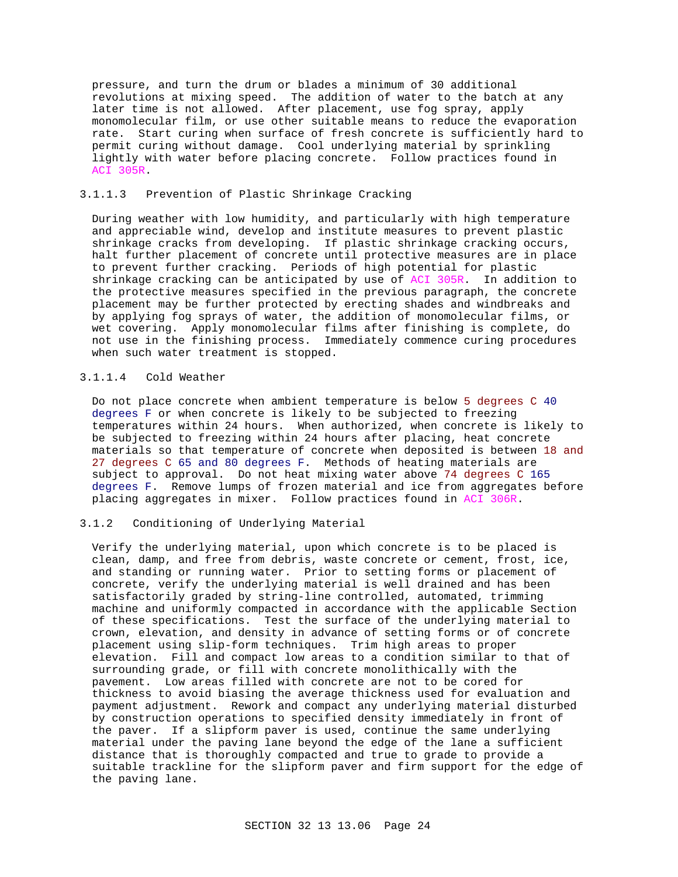pressure, and turn the drum or blades a minimum of 30 additional revolutions at mixing speed. The addition of water to the batch at any later time is not allowed. After placement, use fog spray, apply monomolecular film, or use other suitable means to reduce the evaporation rate. Start curing when surface of fresh concrete is sufficiently hard to permit curing without damage. Cool underlying material by sprinkling lightly with water before placing concrete. Follow practices found in ACI 305R.

# 3.1.1.3 Prevention of Plastic Shrinkage Cracking

During weather with low humidity, and particularly with high temperature and appreciable wind, develop and institute measures to prevent plastic shrinkage cracks from developing. If plastic shrinkage cracking occurs, halt further placement of concrete until protective measures are in place to prevent further cracking. Periods of high potential for plastic shrinkage cracking can be anticipated by use of ACI 305R. In addition to the protective measures specified in the previous paragraph, the concrete placement may be further protected by erecting shades and windbreaks and by applying fog sprays of water, the addition of monomolecular films, or wet covering. Apply monomolecular films after finishing is complete, do not use in the finishing process. Immediately commence curing procedures when such water treatment is stopped.

# 3.1.1.4 Cold Weather

Do not place concrete when ambient temperature is below 5 degrees C 40 degrees F or when concrete is likely to be subjected to freezing temperatures within 24 hours. When authorized, when concrete is likely to be subjected to freezing within 24 hours after placing, heat concrete materials so that temperature of concrete when deposited is between 18 and 27 degrees C 65 and 80 degrees F. Methods of heating materials are subject to approval. Do not heat mixing water above 74 degrees C 165 degrees F. Remove lumps of frozen material and ice from aggregates before placing aggregates in mixer. Follow practices found in ACI 306R.

### 3.1.2 Conditioning of Underlying Material

Verify the underlying material, upon which concrete is to be placed is clean, damp, and free from debris, waste concrete or cement, frost, ice, and standing or running water. Prior to setting forms or placement of concrete, verify the underlying material is well drained and has been satisfactorily graded by string-line controlled, automated, trimming machine and uniformly compacted in accordance with the applicable Section of these specifications. Test the surface of the underlying material to crown, elevation, and density in advance of setting forms or of concrete placement using slip-form techniques. Trim high areas to proper elevation. Fill and compact low areas to a condition similar to that of surrounding grade, or fill with concrete monolithically with the pavement. Low areas filled with concrete are not to be cored for thickness to avoid biasing the average thickness used for evaluation and payment adjustment. Rework and compact any underlying material disturbed by construction operations to specified density immediately in front of the paver. If a slipform paver is used, continue the same underlying material under the paving lane beyond the edge of the lane a sufficient distance that is thoroughly compacted and true to grade to provide a suitable trackline for the slipform paver and firm support for the edge of the paving lane.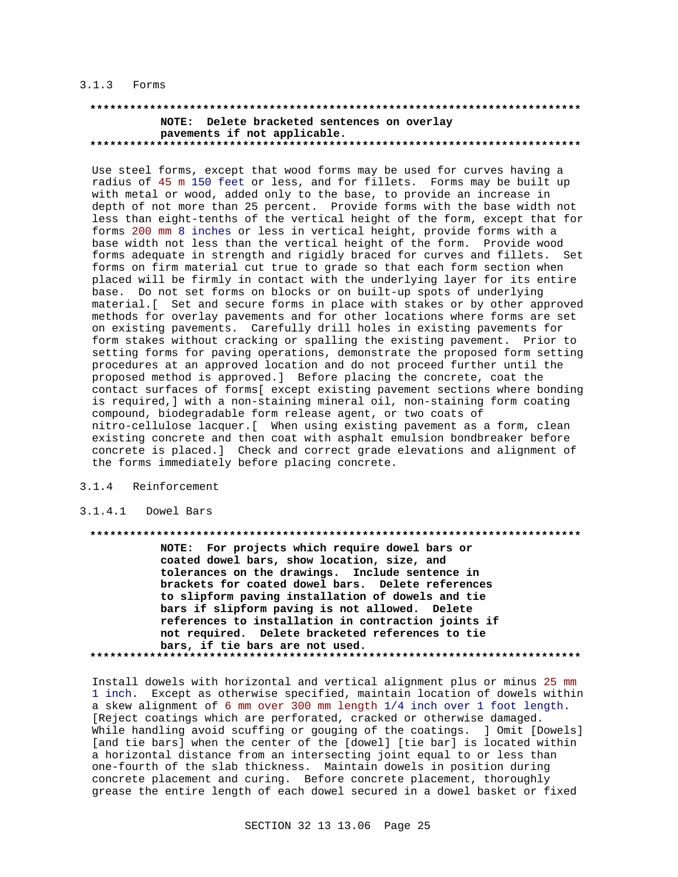### 3.1.3 Forms

#### **\*\*\*\*\*\*\*\*\*\*\*\*\*\*\*\*\*\*\*\*\*\*\*\*\*\*\*\*\*\*\*\*\*\*\*\*\*\*\*\*\*\*\*\*\*\*\*\*\*\*\*\*\*\*\*\*\*\*\*\*\*\*\*\*\*\*\*\*\*\*\*\*\*\* NOTE: Delete bracketed sentences on overlay pavements if not applicable. \*\*\*\*\*\*\*\*\*\*\*\*\*\*\*\*\*\*\*\*\*\*\*\*\*\*\*\*\*\*\*\*\*\*\*\*\*\*\*\*\*\*\*\*\*\*\*\*\*\*\*\*\*\*\*\*\*\*\*\*\*\*\*\*\*\*\*\*\*\*\*\*\*\***

Use steel forms, except that wood forms may be used for curves having a radius of 45 m 150 feet or less, and for fillets. Forms may be built up with metal or wood, added only to the base, to provide an increase in depth of not more than 25 percent. Provide forms with the base width not less than eight-tenths of the vertical height of the form, except that for forms 200 mm 8 inches or less in vertical height, provide forms with a base width not less than the vertical height of the form. Provide wood forms adequate in strength and rigidly braced for curves and fillets. Set forms on firm material cut true to grade so that each form section when placed will be firmly in contact with the underlying layer for its entire base. Do not set forms on blocks or on built-up spots of underlying material.[ Set and secure forms in place with stakes or by other approved methods for overlay pavements and for other locations where forms are set on existing pavements. Carefully drill holes in existing pavements for form stakes without cracking or spalling the existing pavement. Prior to setting forms for paving operations, demonstrate the proposed form setting procedures at an approved location and do not proceed further until the proposed method is approved.] Before placing the concrete, coat the contact surfaces of forms[ except existing pavement sections where bonding is required,] with a non-staining mineral oil, non-staining form coating compound, biodegradable form release agent, or two coats of nitro-cellulose lacquer.[ When using existing pavement as a form, clean existing concrete and then coat with asphalt emulsion bondbreaker before concrete is placed.] Check and correct grade elevations and alignment of the forms immediately before placing concrete.

### 3.1.4 Reinforcement

#### 3.1.4.1 Dowel Bars

**\*\*\*\*\*\*\*\*\*\*\*\*\*\*\*\*\*\*\*\*\*\*\*\*\*\*\*\*\*\*\*\*\*\*\*\*\*\*\*\*\*\*\*\*\*\*\*\*\*\*\*\*\*\*\*\*\*\*\*\*\*\*\*\*\*\*\*\*\*\*\*\*\*\***

**NOTE: For projects which require dowel bars or coated dowel bars, show location, size, and tolerances on the drawings. Include sentence in brackets for coated dowel bars. Delete references to slipform paving installation of dowels and tie bars if slipform paving is not allowed. Delete references to installation in contraction joints if not required. Delete bracketed references to tie bars, if tie bars are not used. \*\*\*\*\*\*\*\*\*\*\*\*\*\*\*\*\*\*\*\*\*\*\*\*\*\*\*\*\*\*\*\*\*\*\*\*\*\*\*\*\*\*\*\*\*\*\*\*\*\*\*\*\*\*\*\*\*\*\*\*\*\*\*\*\*\*\*\*\*\*\*\*\*\***

Install dowels with horizontal and vertical alignment plus or minus 25 mm 1 inch. Except as otherwise specified, maintain location of dowels within a skew alignment of 6 mm over 300 mm length 1/4 inch over 1 foot length. [Reject coatings which are perforated, cracked or otherwise damaged. While handling avoid scuffing or gouging of the coatings. ] Omit [Dowels] [and tie bars] when the center of the [dowel] [tie bar] is located within a horizontal distance from an intersecting joint equal to or less than one-fourth of the slab thickness. Maintain dowels in position during concrete placement and curing. Before concrete placement, thoroughly grease the entire length of each dowel secured in a dowel basket or fixed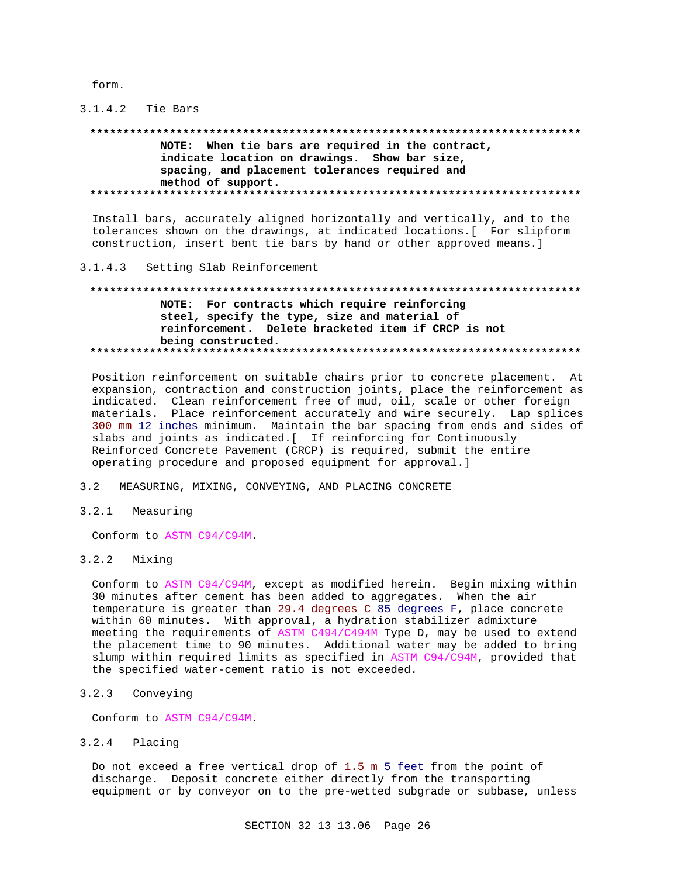form.

#### $3.1.4.2$ Tie Bars

# NOTE: When tie bars are required in the contract, indicate location on drawings. Show bar size, spacing, and placement tolerances required and method of support.

Install bars, accurately aligned horizontally and vertically, and to the tolerances shown on the drawings, at indicated locations. [ For slipform construction, insert bent tie bars by hand or other approved means.]

#### $3.1.4.3$ Setting Slab Reinforcement

# NOTE: For contracts which require reinforcing steel, specify the type, size and material of reinforcement. Delete bracketed item if CRCP is not being constructed.

Position reinforcement on suitable chairs prior to concrete placement. At expansion, contraction and construction joints, place the reinforcement as indicated. Clean reinforcement free of mud, oil, scale or other foreign materials. Place reinforcement accurately and wire securely. Lap splices 300 mm 12 inches minimum. Maintain the bar spacing from ends and sides of slabs and joints as indicated. [ If reinforcing for Continuously Reinforced Concrete Pavement (CRCP) is required, submit the entire operating procedure and proposed equipment for approval.]

#### $3.2$ MEASURING, MIXING, CONVEYING, AND PLACING CONCRETE

 $3.2.1$ Measuring

Conform to ASTM C94/C94M.

# $3.2.2$  Mixing

Conform to ASTM C94/C94M, except as modified herein. Begin mixing within 30 minutes after cement has been added to aggregates. When the air temperature is greater than 29.4 degrees C 85 degrees F, place concrete within 60 minutes. With approval, a hydration stabilizer admixture meeting the requirements of ASTM C494/C494M Type D, may be used to extend the placement time to 90 minutes. Additional water may be added to bring slump within required limits as specified in ASTM C94/C94M, provided that the specified water-cement ratio is not exceeded.

#### $3.2.3$ Conveying

Conform to ASTM C94/C94M.

#### $3.2.4$ Placing

Do not exceed a free vertical drop of 1.5 m 5 feet from the point of discharge. Deposit concrete either directly from the transporting equipment or by conveyor on to the pre-wetted subgrade or subbase, unless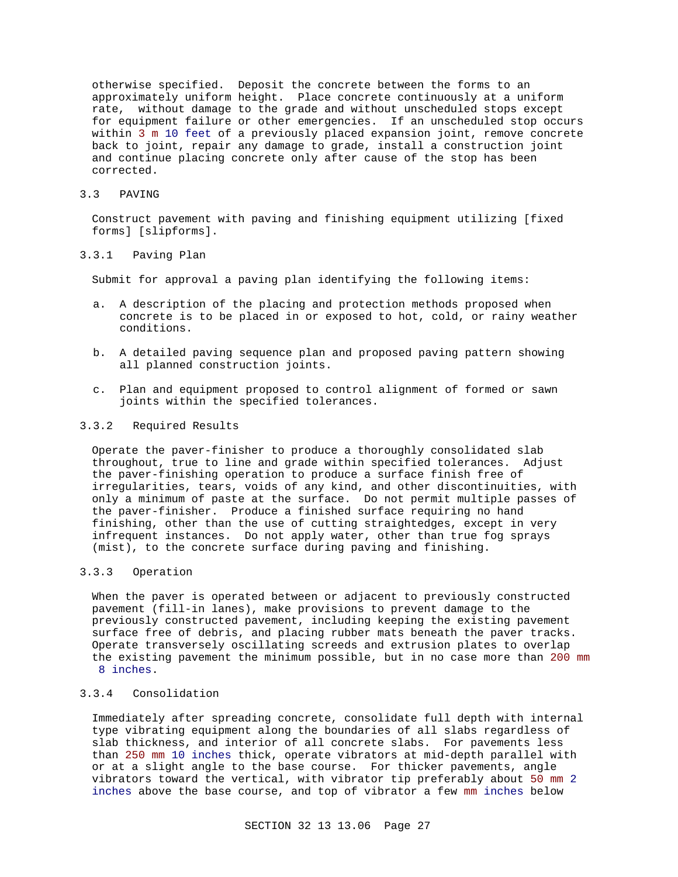otherwise specified. Deposit the concrete between the forms to an approximately uniform height. Place concrete continuously at a uniform rate, without damage to the grade and without unscheduled stops except for equipment failure or other emergencies. If an unscheduled stop occurs within 3 m 10 feet of a previously placed expansion joint, remove concrete back to joint, repair any damage to grade, install a construction joint and continue placing concrete only after cause of the stop has been corrected.

#### 3.3 PAVING

Construct pavement with paving and finishing equipment utilizing [fixed forms] [slipforms].

#### 3.3.1 Paving Plan

Submit for approval a paving plan identifying the following items:

- a. A description of the placing and protection methods proposed when concrete is to be placed in or exposed to hot, cold, or rainy weather conditions.
- b. A detailed paving sequence plan and proposed paving pattern showing all planned construction joints.
- c. Plan and equipment proposed to control alignment of formed or sawn joints within the specified tolerances.

## 3.3.2 Required Results

Operate the paver-finisher to produce a thoroughly consolidated slab throughout, true to line and grade within specified tolerances. Adjust the paver-finishing operation to produce a surface finish free of irregularities, tears, voids of any kind, and other discontinuities, with only a minimum of paste at the surface. Do not permit multiple passes of the paver-finisher. Produce a finished surface requiring no hand finishing, other than the use of cutting straightedges, except in very infrequent instances. Do not apply water, other than true fog sprays (mist), to the concrete surface during paving and finishing.

#### 3.3.3 Operation

When the paver is operated between or adjacent to previously constructed pavement (fill-in lanes), make provisions to prevent damage to the previously constructed pavement, including keeping the existing pavement surface free of debris, and placing rubber mats beneath the paver tracks. Operate transversely oscillating screeds and extrusion plates to overlap the existing pavement the minimum possible, but in no case more than 200 mm 8 inches.

# 3.3.4 Consolidation

Immediately after spreading concrete, consolidate full depth with internal type vibrating equipment along the boundaries of all slabs regardless of slab thickness, and interior of all concrete slabs. For pavements less than 250 mm 10 inches thick, operate vibrators at mid-depth parallel with or at a slight angle to the base course. For thicker pavements, angle vibrators toward the vertical, with vibrator tip preferably about 50 mm 2 inches above the base course, and top of vibrator a few mm inches below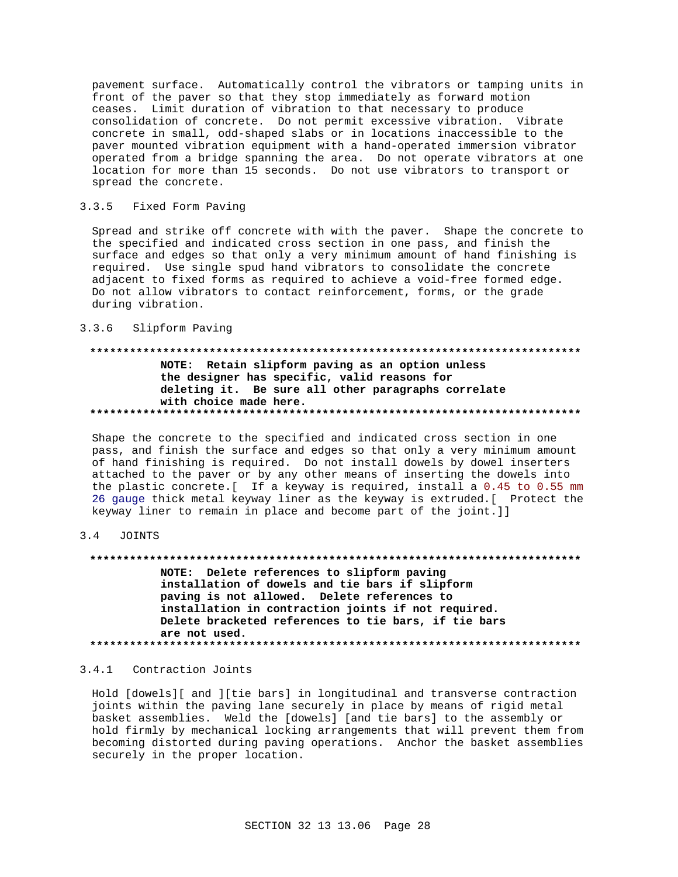pavement surface. Automatically control the vibrators or tamping units in front of the paver so that they stop immediately as forward motion ceases. Limit duration of vibration to that necessary to produce consolidation of concrete. Do not permit excessive vibration. Vibrate concrete in small, odd-shaped slabs or in locations inaccessible to the paver mounted vibration equipment with a hand-operated immersion vibrator operated from a bridge spanning the area. Do not operate vibrators at one location for more than 15 seconds. Do not use vibrators to transport or spread the concrete.

#### $3.3.5$ Fixed Form Paving

Spread and strike off concrete with with the paver. Shape the concrete to the specified and indicated cross section in one pass, and finish the surface and edges so that only a very minimum amount of hand finishing is required. Use single spud hand vibrators to consolidate the concrete adjacent to fixed forms as required to achieve a void-free formed edge. Do not allow vibrators to contact reinforcement, forms, or the grade during vibration.

#### $3.3.6$ Slipform Paving

# NOTE: Retain slipform paving as an option unless the designer has specific, valid reasons for deleting it. Be sure all other paragraphs correlate with choice made here.

Shape the concrete to the specified and indicated cross section in one pass, and finish the surface and edges so that only a very minimum amount of hand finishing is required. Do not install dowels by dowel inserters attached to the paver or by any other means of inserting the dowels into the plastic concrete. [ If a keyway is required, install a 0.45 to 0.55 mm 26 gauge thick metal keyway liner as the keyway is extruded. [ Protect the keyway liner to remain in place and become part of the joint.]]

#### $3.4$ JOINTS

NOTE: Delete references to slipform paving installation of dowels and tie bars if slipform paving is not allowed. Delete references to installation in contraction joints if not required. Delete bracketed references to tie bars, if tie bars are not used. 

#### 3.4.1 Contraction Joints

Hold [dowels][ and ][tie bars] in longitudinal and transverse contraction joints within the paving lane securely in place by means of rigid metal basket assemblies. Weld the [dowels] [and tie bars] to the assembly or hold firmly by mechanical locking arrangements that will prevent them from becoming distorted during paving operations. Anchor the basket assemblies securely in the proper location.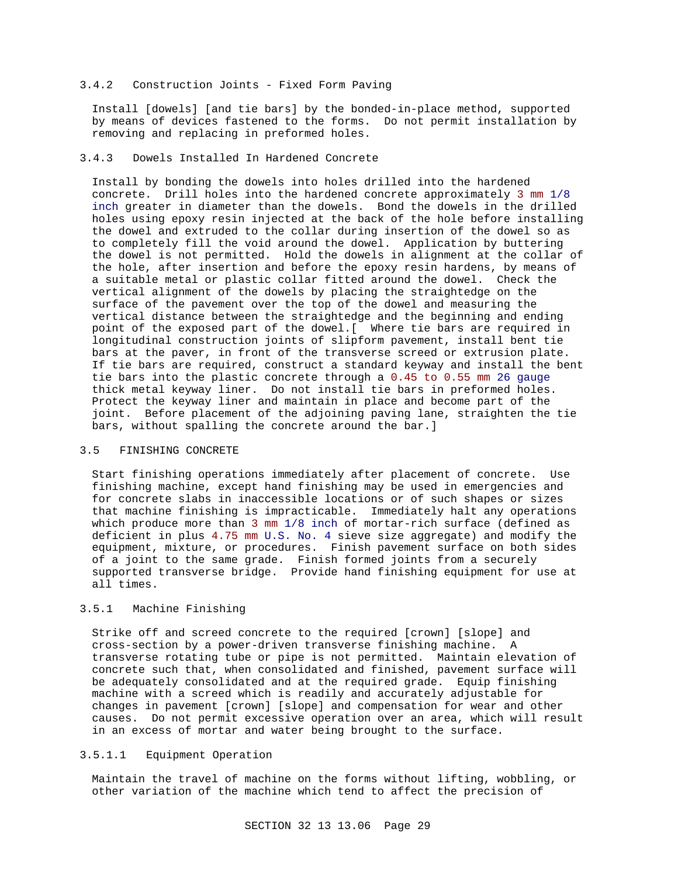#### 3.4.2 Construction Joints - Fixed Form Paving

Install [dowels] [and tie bars] by the bonded-in-place method, supported by means of devices fastened to the forms. Do not permit installation by removing and replacing in preformed holes.

# 3.4.3 Dowels Installed In Hardened Concrete

Install by bonding the dowels into holes drilled into the hardened concrete. Drill holes into the hardened concrete approximately 3 mm 1/8 inch greater in diameter than the dowels. Bond the dowels in the drilled holes using epoxy resin injected at the back of the hole before installing the dowel and extruded to the collar during insertion of the dowel so as to completely fill the void around the dowel. Application by buttering the dowel is not permitted. Hold the dowels in alignment at the collar of the hole, after insertion and before the epoxy resin hardens, by means of a suitable metal or plastic collar fitted around the dowel. Check the vertical alignment of the dowels by placing the straightedge on the surface of the pavement over the top of the dowel and measuring the vertical distance between the straightedge and the beginning and ending point of the exposed part of the dowel.[ Where tie bars are required in longitudinal construction joints of slipform pavement, install bent tie bars at the paver, in front of the transverse screed or extrusion plate. If tie bars are required, construct a standard keyway and install the bent tie bars into the plastic concrete through a 0.45 to 0.55 mm 26 gauge thick metal keyway liner. Do not install tie bars in preformed holes. Protect the keyway liner and maintain in place and become part of the joint. Before placement of the adjoining paving lane, straighten the tie bars, without spalling the concrete around the bar.]

#### 3.5 FINISHING CONCRETE

Start finishing operations immediately after placement of concrete. Use finishing machine, except hand finishing may be used in emergencies and for concrete slabs in inaccessible locations or of such shapes or sizes that machine finishing is impracticable. Immediately halt any operations which produce more than 3 mm 1/8 inch of mortar-rich surface (defined as deficient in plus 4.75 mm U.S. No. 4 sieve size aggregate) and modify the equipment, mixture, or procedures. Finish pavement surface on both sides of a joint to the same grade. Finish formed joints from a securely supported transverse bridge. Provide hand finishing equipment for use at all times.

### 3.5.1 Machine Finishing

Strike off and screed concrete to the required [crown] [slope] and cross-section by a power-driven transverse finishing machine. A transverse rotating tube or pipe is not permitted. Maintain elevation of concrete such that, when consolidated and finished, pavement surface will be adequately consolidated and at the required grade. Equip finishing machine with a screed which is readily and accurately adjustable for changes in pavement [crown] [slope] and compensation for wear and other causes. Do not permit excessive operation over an area, which will result in an excess of mortar and water being brought to the surface.

### 3.5.1.1 Equipment Operation

Maintain the travel of machine on the forms without lifting, wobbling, or other variation of the machine which tend to affect the precision of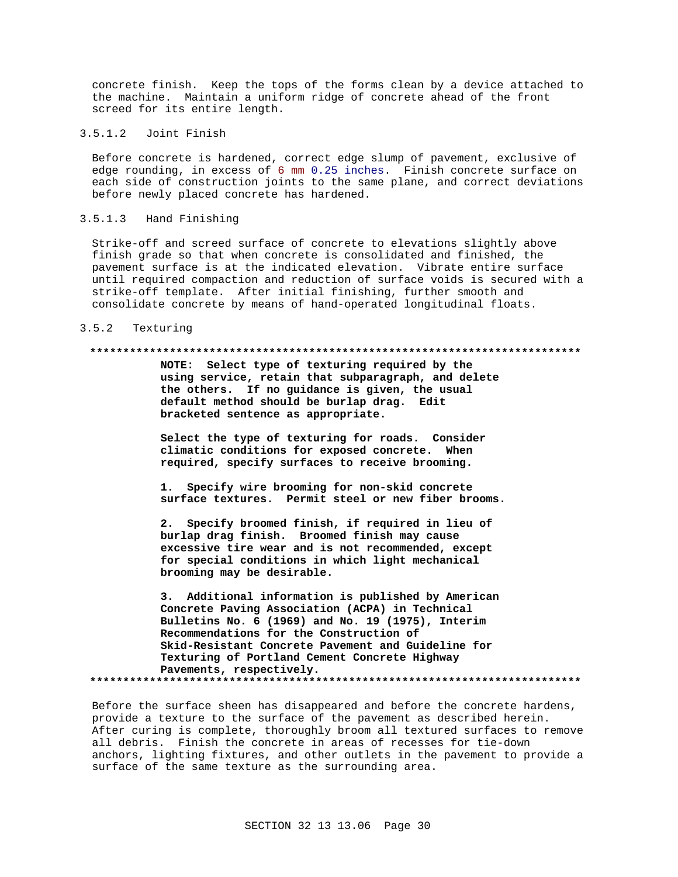concrete finish. Keep the tops of the forms clean by a device attached to the machine. Maintain a uniform ridge of concrete ahead of the front screed for its entire length.

3.5.1.2 Joint Finish

Before concrete is hardened, correct edge slump of pavement, exclusive of edge rounding, in excess of 6 mm 0.25 inches. Finish concrete surface on each side of construction joints to the same plane, and correct deviations before newly placed concrete has hardened.

### 3.5.1.3 Hand Finishing

Strike-off and screed surface of concrete to elevations slightly above finish grade so that when concrete is consolidated and finished, the pavement surface is at the indicated elevation. Vibrate entire surface until required compaction and reduction of surface voids is secured with a strike-off template. After initial finishing, further smooth and consolidate concrete by means of hand-operated longitudinal floats.

#### 3.5.2 Texturing

#### **\*\*\*\*\*\*\*\*\*\*\*\*\*\*\*\*\*\*\*\*\*\*\*\*\*\*\*\*\*\*\*\*\*\*\*\*\*\*\*\*\*\*\*\*\*\*\*\*\*\*\*\*\*\*\*\*\*\*\*\*\*\*\*\*\*\*\*\*\*\*\*\*\*\***

**NOTE: Select type of texturing required by the using service, retain that subparagraph, and delete the others. If no guidance is given, the usual default method should be burlap drag. Edit bracketed sentence as appropriate.**

**Select the type of texturing for roads. Consider climatic conditions for exposed concrete. When required, specify surfaces to receive brooming.**

**1. Specify wire brooming for non-skid concrete surface textures. Permit steel or new fiber brooms.**

**2. Specify broomed finish, if required in lieu of burlap drag finish. Broomed finish may cause excessive tire wear and is not recommended, except for special conditions in which light mechanical brooming may be desirable.**

**3. Additional information is published by American Concrete Paving Association (ACPA) in Technical Bulletins No. 6 (1969) and No. 19 (1975), Interim Recommendations for the Construction of Skid-Resistant Concrete Pavement and Guideline for Texturing of Portland Cement Concrete Highway Pavements, respectively. \*\*\*\*\*\*\*\*\*\*\*\*\*\*\*\*\*\*\*\*\*\*\*\*\*\*\*\*\*\*\*\*\*\*\*\*\*\*\*\*\*\*\*\*\*\*\*\*\*\*\*\*\*\*\*\*\*\*\*\*\*\*\*\*\*\*\*\*\*\*\*\*\*\***

Before the surface sheen has disappeared and before the concrete hardens, provide a texture to the surface of the pavement as described herein. After curing is complete, thoroughly broom all textured surfaces to remove all debris. Finish the concrete in areas of recesses for tie-down anchors, lighting fixtures, and other outlets in the pavement to provide a surface of the same texture as the surrounding area.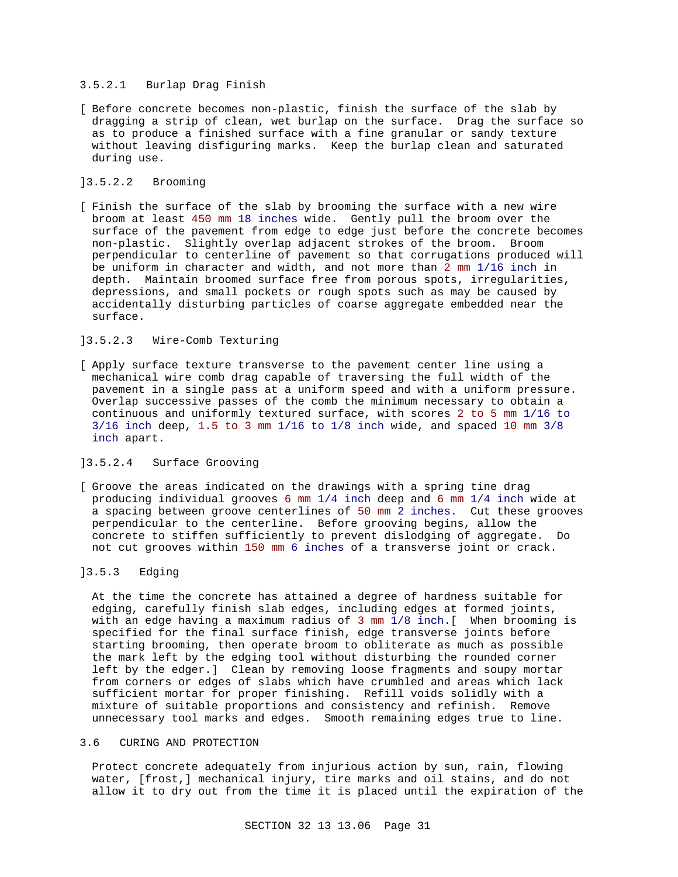## 3.5.2.1 Burlap Drag Finish

[ Before concrete becomes non-plastic, finish the surface of the slab by dragging a strip of clean, wet burlap on the surface. Drag the surface so as to produce a finished surface with a fine granular or sandy texture without leaving disfiguring marks. Keep the burlap clean and saturated during use.

# ]3.5.2.2 Brooming

[ Finish the surface of the slab by brooming the surface with a new wire broom at least 450 mm 18 inches wide. Gently pull the broom over the surface of the pavement from edge to edge just before the concrete becomes non-plastic. Slightly overlap adjacent strokes of the broom. Broom perpendicular to centerline of pavement so that corrugations produced will be uniform in character and width, and not more than 2 mm 1/16 inch in depth. Maintain broomed surface free from porous spots, irregularities, depressions, and small pockets or rough spots such as may be caused by accidentally disturbing particles of coarse aggregate embedded near the surface.

# ]3.5.2.3 Wire-Comb Texturing

[ Apply surface texture transverse to the pavement center line using a mechanical wire comb drag capable of traversing the full width of the pavement in a single pass at a uniform speed and with a uniform pressure. Overlap successive passes of the comb the minimum necessary to obtain a continuous and uniformly textured surface, with scores 2 to 5 mm 1/16 to 3/16 inch deep, 1.5 to 3 mm 1/16 to 1/8 inch wide, and spaced 10 mm 3/8 inch apart.

# ]3.5.2.4 Surface Grooving

[ Groove the areas indicated on the drawings with a spring tine drag producing individual grooves 6 mm 1/4 inch deep and 6 mm 1/4 inch wide at a spacing between groove centerlines of 50 mm 2 inches. Cut these grooves perpendicular to the centerline. Before grooving begins, allow the concrete to stiffen sufficiently to prevent dislodging of aggregate. Do not cut grooves within 150 mm 6 inches of a transverse joint or crack.

## ]3.5.3 Edging

At the time the concrete has attained a degree of hardness suitable for edging, carefully finish slab edges, including edges at formed joints, with an edge having a maximum radius of 3 mm 1/8 inch.[ When brooming is specified for the final surface finish, edge transverse joints before starting brooming, then operate broom to obliterate as much as possible the mark left by the edging tool without disturbing the rounded corner left by the edger.] Clean by removing loose fragments and soupy mortar from corners or edges of slabs which have crumbled and areas which lack sufficient mortar for proper finishing. Refill voids solidly with a mixture of suitable proportions and consistency and refinish. Remove unnecessary tool marks and edges. Smooth remaining edges true to line.

### 3.6 CURING AND PROTECTION

Protect concrete adequately from injurious action by sun, rain, flowing water, [frost,] mechanical injury, tire marks and oil stains, and do not allow it to dry out from the time it is placed until the expiration of the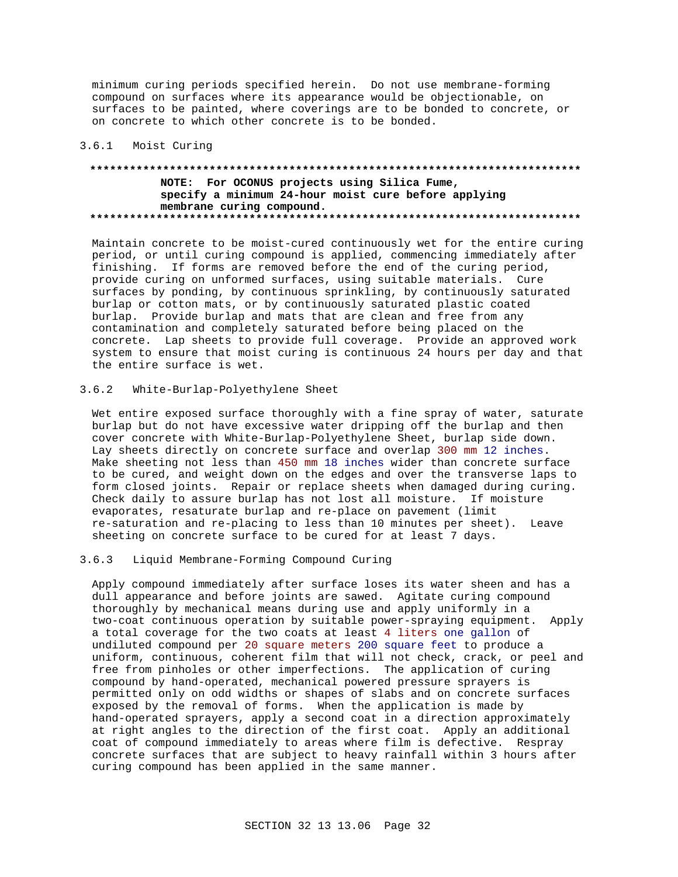minimum curing periods specified herein. Do not use membrane-forming compound on surfaces where its appearance would be objectionable, on surfaces to be painted, where coverings are to be bonded to concrete, or on concrete to which other concrete is to be bonded.

# 3.6.1 Moist Curing

# **\*\*\*\*\*\*\*\*\*\*\*\*\*\*\*\*\*\*\*\*\*\*\*\*\*\*\*\*\*\*\*\*\*\*\*\*\*\*\*\*\*\*\*\*\*\*\*\*\*\*\*\*\*\*\*\*\*\*\*\*\*\*\*\*\*\*\*\*\*\*\*\*\*\* NOTE: For OCONUS projects using Silica Fume, specify a minimum 24-hour moist cure before applying membrane curing compound. \*\*\*\*\*\*\*\*\*\*\*\*\*\*\*\*\*\*\*\*\*\*\*\*\*\*\*\*\*\*\*\*\*\*\*\*\*\*\*\*\*\*\*\*\*\*\*\*\*\*\*\*\*\*\*\*\*\*\*\*\*\*\*\*\*\*\*\*\*\*\*\*\*\***

Maintain concrete to be moist-cured continuously wet for the entire curing period, or until curing compound is applied, commencing immediately after finishing. If forms are removed before the end of the curing period, provide curing on unformed surfaces, using suitable materials. Cure surfaces by ponding, by continuous sprinkling, by continuously saturated burlap or cotton mats, or by continuously saturated plastic coated burlap. Provide burlap and mats that are clean and free from any contamination and completely saturated before being placed on the concrete. Lap sheets to provide full coverage. Provide an approved work system to ensure that moist curing is continuous 24 hours per day and that the entire surface is wet.

# 3.6.2 White-Burlap-Polyethylene Sheet

Wet entire exposed surface thoroughly with a fine spray of water, saturate burlap but do not have excessive water dripping off the burlap and then cover concrete with White-Burlap-Polyethylene Sheet, burlap side down. Lay sheets directly on concrete surface and overlap 300 mm 12 inches. Make sheeting not less than 450 mm 18 inches wider than concrete surface to be cured, and weight down on the edges and over the transverse laps to form closed joints. Repair or replace sheets when damaged during curing. Check daily to assure burlap has not lost all moisture. If moisture evaporates, resaturate burlap and re-place on pavement (limit re-saturation and re-placing to less than 10 minutes per sheet). Leave sheeting on concrete surface to be cured for at least 7 days.

## 3.6.3 Liquid Membrane-Forming Compound Curing

Apply compound immediately after surface loses its water sheen and has a dull appearance and before joints are sawed. Agitate curing compound thoroughly by mechanical means during use and apply uniformly in a two-coat continuous operation by suitable power-spraying equipment. Apply a total coverage for the two coats at least 4 liters one gallon of undiluted compound per 20 square meters 200 square feet to produce a uniform, continuous, coherent film that will not check, crack, or peel and free from pinholes or other imperfections. The application of curing compound by hand-operated, mechanical powered pressure sprayers is permitted only on odd widths or shapes of slabs and on concrete surfaces exposed by the removal of forms. When the application is made by hand-operated sprayers, apply a second coat in a direction approximately at right angles to the direction of the first coat. Apply an additional coat of compound immediately to areas where film is defective. Respray concrete surfaces that are subject to heavy rainfall within 3 hours after curing compound has been applied in the same manner.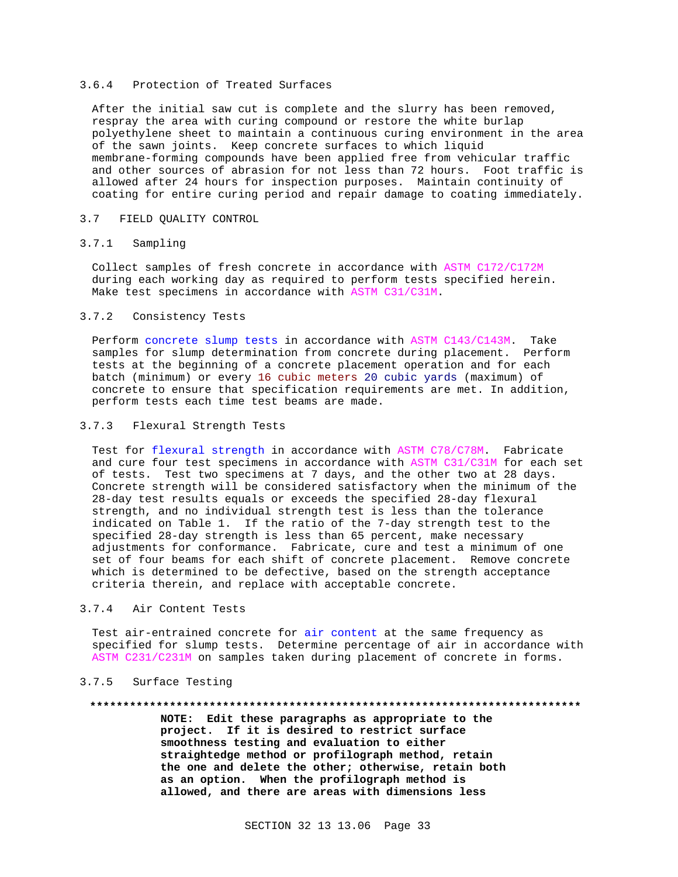### 3.6.4 Protection of Treated Surfaces

After the initial saw cut is complete and the slurry has been removed, respray the area with curing compound or restore the white burlap polyethylene sheet to maintain a continuous curing environment in the area of the sawn joints. Keep concrete surfaces to which liquid membrane-forming compounds have been applied free from vehicular traffic and other sources of abrasion for not less than 72 hours. Foot traffic is allowed after 24 hours for inspection purposes. Maintain continuity of coating for entire curing period and repair damage to coating immediately.

### 3.7 FIELD QUALITY CONTROL

### 3.7.1 Sampling

Collect samples of fresh concrete in accordance with ASTM C172/C172M during each working day as required to perform tests specified herein. Make test specimens in accordance with ASTM C31/C31M.

## 3.7.2 Consistency Tests

Perform concrete slump tests in accordance with ASTM C143/C143M. Take samples for slump determination from concrete during placement. Perform tests at the beginning of a concrete placement operation and for each batch (minimum) or every 16 cubic meters 20 cubic yards (maximum) of concrete to ensure that specification requirements are met. In addition, perform tests each time test beams are made.

## 3.7.3 Flexural Strength Tests

Test for flexural strength in accordance with ASTM C78/C78M. Fabricate and cure four test specimens in accordance with ASTM C31/C31M for each set of tests. Test two specimens at 7 days, and the other two at 28 days. Concrete strength will be considered satisfactory when the minimum of the 28-day test results equals or exceeds the specified 28-day flexural strength, and no individual strength test is less than the tolerance indicated on Table 1. If the ratio of the 7-day strength test to the specified 28-day strength is less than 65 percent, make necessary adjustments for conformance. Fabricate, cure and test a minimum of one set of four beams for each shift of concrete placement. Remove concrete which is determined to be defective, based on the strength acceptance criteria therein, and replace with acceptable concrete.

### 3.7.4 Air Content Tests

Test air-entrained concrete for air content at the same frequency as specified for slump tests. Determine percentage of air in accordance with ASTM C231/C231M on samples taken during placement of concrete in forms.

## 3.7.5 Surface Testing

#### **\*\*\*\*\*\*\*\*\*\*\*\*\*\*\*\*\*\*\*\*\*\*\*\*\*\*\*\*\*\*\*\*\*\*\*\*\*\*\*\*\*\*\*\*\*\*\*\*\*\*\*\*\*\*\*\*\*\*\*\*\*\*\*\*\*\*\*\*\*\*\*\*\*\***

**NOTE: Edit these paragraphs as appropriate to the project. If it is desired to restrict surface smoothness testing and evaluation to either straightedge method or profilograph method, retain the one and delete the other; otherwise, retain both as an option. When the profilograph method is allowed, and there are areas with dimensions less**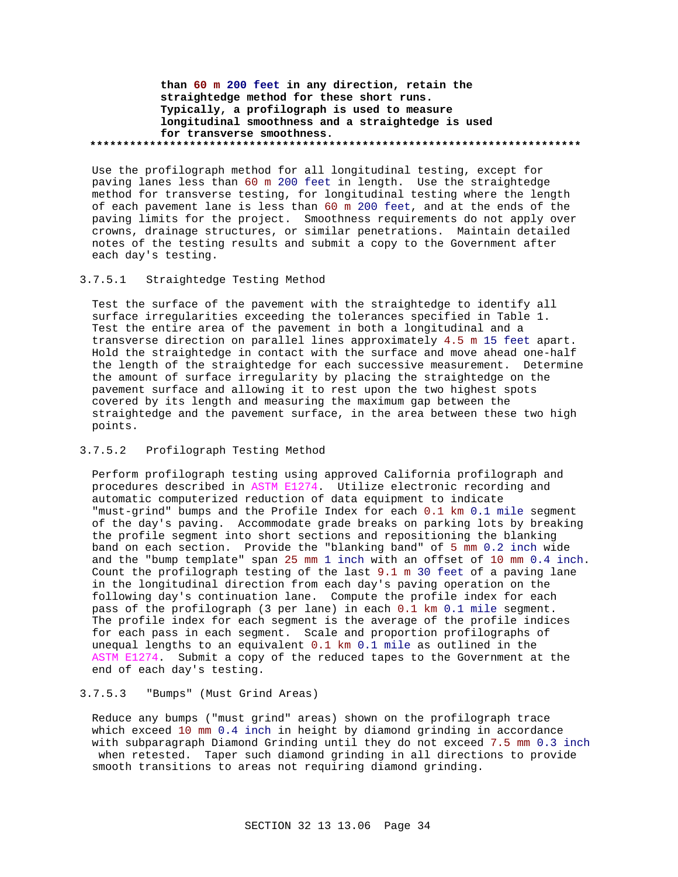**than 60 m 200 feet in any direction, retain the straightedge method for these short runs. Typically, a profilograph is used to measure longitudinal smoothness and a straightedge is used for transverse smoothness. \*\*\*\*\*\*\*\*\*\*\*\*\*\*\*\*\*\*\*\*\*\*\*\*\*\*\*\*\*\*\*\*\*\*\*\*\*\*\*\*\*\*\*\*\*\*\*\*\*\*\*\*\*\*\*\*\*\*\*\*\*\*\*\*\*\*\*\*\*\*\*\*\*\***

Use the profilograph method for all longitudinal testing, except for paving lanes less than 60 m 200 feet in length. Use the straightedge method for transverse testing, for longitudinal testing where the length of each pavement lane is less than 60 m 200 feet, and at the ends of the paving limits for the project. Smoothness requirements do not apply over crowns, drainage structures, or similar penetrations. Maintain detailed notes of the testing results and submit a copy to the Government after each day's testing.

#### 3.7.5.1 Straightedge Testing Method

Test the surface of the pavement with the straightedge to identify all surface irregularities exceeding the tolerances specified in Table 1. Test the entire area of the pavement in both a longitudinal and a transverse direction on parallel lines approximately 4.5 m 15 feet apart. Hold the straightedge in contact with the surface and move ahead one-half the length of the straightedge for each successive measurement. Determine the amount of surface irregularity by placing the straightedge on the pavement surface and allowing it to rest upon the two highest spots covered by its length and measuring the maximum gap between the straightedge and the pavement surface, in the area between these two high points.

## 3.7.5.2 Profilograph Testing Method

Perform profilograph testing using approved California profilograph and procedures described in ASTM E1274. Utilize electronic recording and automatic computerized reduction of data equipment to indicate "must-grind" bumps and the Profile Index for each 0.1 km 0.1 mile segment of the day's paving. Accommodate grade breaks on parking lots by breaking the profile segment into short sections and repositioning the blanking band on each section. Provide the "blanking band" of 5 mm 0.2 inch wide and the "bump template" span 25 mm 1 inch with an offset of 10 mm 0.4 inch. Count the profilograph testing of the last 9.1 m 30 feet of a paving lane in the longitudinal direction from each day's paving operation on the following day's continuation lane. Compute the profile index for each pass of the profilograph (3 per lane) in each 0.1 km 0.1 mile segment. The profile index for each segment is the average of the profile indices for each pass in each segment. Scale and proportion profilographs of unequal lengths to an equivalent 0.1 km 0.1 mile as outlined in the ASTM E1274. Submit a copy of the reduced tapes to the Government at the end of each day's testing.

# 3.7.5.3 "Bumps" (Must Grind Areas)

Reduce any bumps ("must grind" areas) shown on the profilograph trace which exceed 10 mm 0.4 inch in height by diamond grinding in accordance with subparagraph Diamond Grinding until they do not exceed 7.5 mm 0.3 inch when retested. Taper such diamond grinding in all directions to provide smooth transitions to areas not requiring diamond grinding.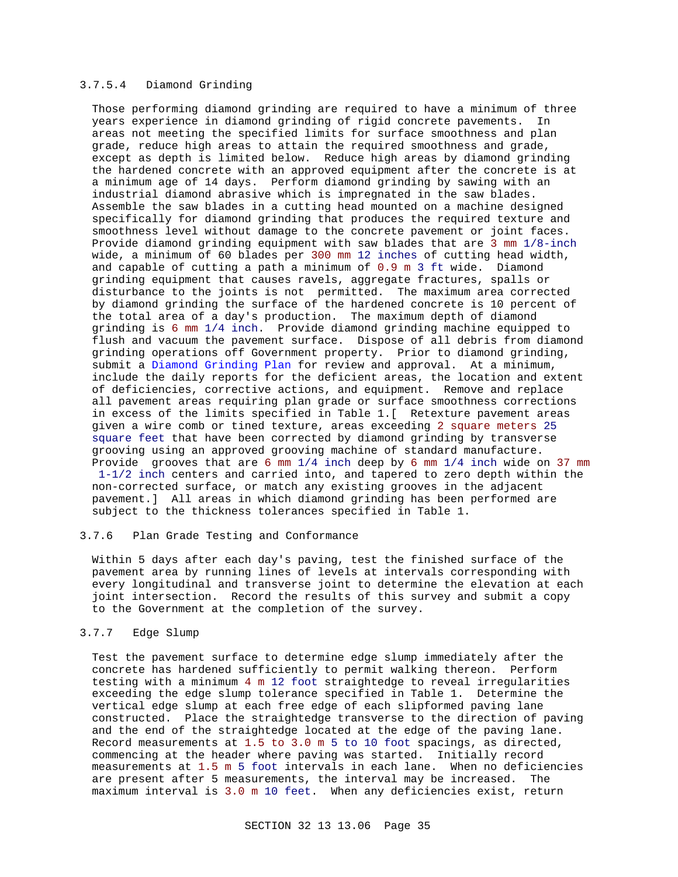# 3.7.5.4 Diamond Grinding

Those performing diamond grinding are required to have a minimum of three years experience in diamond grinding of rigid concrete pavements. In areas not meeting the specified limits for surface smoothness and plan grade, reduce high areas to attain the required smoothness and grade, except as depth is limited below. Reduce high areas by diamond grinding the hardened concrete with an approved equipment after the concrete is at a minimum age of 14 days. Perform diamond grinding by sawing with an industrial diamond abrasive which is impregnated in the saw blades. Assemble the saw blades in a cutting head mounted on a machine designed specifically for diamond grinding that produces the required texture and smoothness level without damage to the concrete pavement or joint faces. Provide diamond grinding equipment with saw blades that are 3 mm 1/8-inch wide, a minimum of 60 blades per 300 mm 12 inches of cutting head width, and capable of cutting a path a minimum of 0.9 m 3 ft wide. Diamond grinding equipment that causes ravels, aggregate fractures, spalls or disturbance to the joints is not permitted. The maximum area corrected by diamond grinding the surface of the hardened concrete is 10 percent of the total area of a day's production. The maximum depth of diamond grinding is 6 mm 1/4 inch. Provide diamond grinding machine equipped to flush and vacuum the pavement surface. Dispose of all debris from diamond grinding operations off Government property. Prior to diamond grinding, submit a Diamond Grinding Plan for review and approval. At a minimum, include the daily reports for the deficient areas, the location and extent of deficiencies, corrective actions, and equipment. Remove and replace all pavement areas requiring plan grade or surface smoothness corrections in excess of the limits specified in Table 1.[ Retexture pavement areas given a wire comb or tined texture, areas exceeding 2 square meters 25 square feet that have been corrected by diamond grinding by transverse grooving using an approved grooving machine of standard manufacture. Provide grooves that are 6 mm 1/4 inch deep by 6 mm 1/4 inch wide on 37 mm 1-1/2 inch centers and carried into, and tapered to zero depth within the non-corrected surface, or match any existing grooves in the adjacent pavement.] All areas in which diamond grinding has been performed are subject to the thickness tolerances specified in Table 1.

### 3.7.6 Plan Grade Testing and Conformance

Within 5 days after each day's paving, test the finished surface of the pavement area by running lines of levels at intervals corresponding with every longitudinal and transverse joint to determine the elevation at each joint intersection. Record the results of this survey and submit a copy to the Government at the completion of the survey.

# 3.7.7 Edge Slump

Test the pavement surface to determine edge slump immediately after the concrete has hardened sufficiently to permit walking thereon. Perform testing with a minimum 4 m 12 foot straightedge to reveal irregularities exceeding the edge slump tolerance specified in Table 1. Determine the vertical edge slump at each free edge of each slipformed paving lane constructed. Place the straightedge transverse to the direction of paving and the end of the straightedge located at the edge of the paving lane. Record measurements at 1.5 to 3.0 m 5 to 10 foot spacings, as directed, commencing at the header where paving was started. Initially record measurements at 1.5 m 5 foot intervals in each lane. When no deficiencies are present after 5 measurements, the interval may be increased. The maximum interval is 3.0 m 10 feet. When any deficiencies exist, return